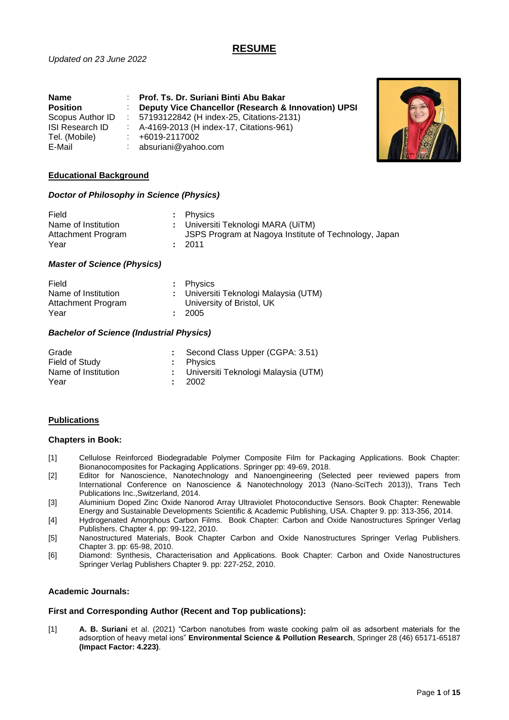# **RESUME**

| <b>Name</b>      | Prof. Ts. Dr. Suriani Binti Abu Bakar               |
|------------------|-----------------------------------------------------|
| <b>Position</b>  | Deputy Vice Chancellor (Research & Innovation) UPSI |
| Scopus Author ID | : 57193122842 (H index-25, Citations-2131)          |
| ISI Research ID  | : A-4169-2013 (H index-17, Citations-961)           |
| Tel. (Mobile)    | +6019-2117002                                       |
| E-Mail           | absuriani@yahoo.com                                 |



# **Educational Background**

# *Doctor of Philosophy in Science (Physics)*

| Field               | : Physics                                             |
|---------------------|-------------------------------------------------------|
| Name of Institution | : Universiti Teknologi MARA (UiTM)                    |
| Attachment Program  | JSPS Program at Nagoya Institute of Technology, Japan |
| Year                | : 2011                                                |

# *Master of Science (Physics)*

| Field               | : Physics                             |
|---------------------|---------------------------------------|
| Name of Institution | : Universiti Teknologi Malaysia (UTM) |
| Attachment Program  | University of Bristol, UK             |
| Year                | : 2005                                |

# *Bachelor of Science (Industrial Physics)*

| Grade               | Second Class Upper (CGPA: 3.51)       |
|---------------------|---------------------------------------|
| Field of Study      | : Physics                             |
| Name of Institution | : Universiti Teknologi Malaysia (UTM) |
| Year                | : 2002                                |

# **Publications**

# **Chapters in Book:**

- [1] Cellulose Reinforced Biodegradable Polymer Composite Film for Packaging Applications. Book Chapter: Bionanocomposites for Packaging Applications. Springer pp: 49-69, 2018.
- [2] Editor for Nanoscience, Nanotechnology and Nanoengineering (Selected peer reviewed papers from International Conference on Nanoscience & Nanotechnology 2013 (Nano-SciTech 2013)), Trans Tech Publications Inc.,Switzerland, 2014.
- [3] Aluminium Doped Zinc Oxide Nanorod Array Ultraviolet Photoconductive Sensors. Book Chapter: Renewable Energy and Sustainable Developments Scientific & Academic Publishing, USA. Chapter 9. pp: 313-356, 2014.
- [4] Hydrogenated Amorphous Carbon Films. Book Chapter: Carbon and Oxide Nanostructures Springer Verlag Publishers. Chapter 4. pp: 99-122, 2010.
- [5] Nanostructured Materials, Book Chapter Carbon and Oxide Nanostructures Springer Verlag Publishers. Chapter 3. pp: 65-98, 2010.
- [6] Diamond: Synthesis, Characterisation and Applications. Book Chapter: Carbon and Oxide Nanostructures Springer Verlag Publishers Chapter 9. pp: 227-252, 2010.

# **Academic Journals:**

# **First and Corresponding Author (Recent and Top publications):**

[1] **A. B. Suriani** et al. (2021) "Carbon nanotubes from waste cooking palm oil as adsorbent materials for the adsorption of heavy metal ions" **Environmental Science & Pollution Research**, Springer 28 (46) 65171-65187 **(Impact Factor: 4.223)**.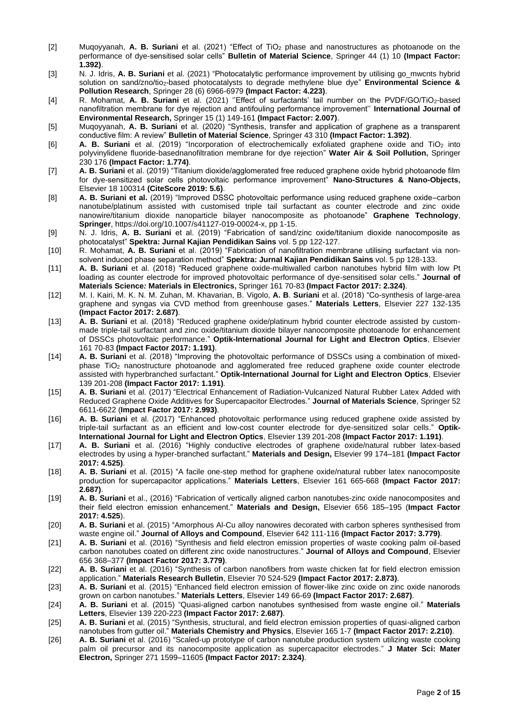- [2] Muqoyyanah, **A. B. Suriani** et al. (2021) "Effect of TiO<sup>2</sup> phase and nanostructures as photoanode on the performance of dye-sensitised solar cells" **Bulletin of Material Science**, Springer 44 (1) 10 **(Impact Factor: 1.392)**.
- [3] N. J. Idris, **A. B. Suriani** et al. (2021) "Photocatalytic performance improvement by utilising go\_mwcnts hybrid solution on sand/zno/tio<sub>2</sub>-based photocatalysts to degrade methylene blue dye" **Environmental Science & Pollution Research**, Springer 28 (6) 6966-6979 **(Impact Factor: 4.223)**.
- [4] R. Mohamat, **A. B. Suriani** et al. (2021) ''Effect of surfactants' tail number on the PVDF/GO/TiO2-based nanofiltration membrane for dye rejection and antifouling performance improvement'' **International Journal of Environmental Research,** Springer 15 (1) 149-161 **(Impact Factor: 2.007)**.
- [5] Muqoyyanah, **A. B. Suriani** et al. (2020) "Synthesis, transfer and application of graphene as a transparent conductive film: A review" **Bulletin of Material Science**, Springer 43 310 **(Impact Factor: 1.392)**.
- [6] **A. B. Suriani** et al. (2019) "Incorporation of electrochemically exfoliated graphene oxide and TiO<sup>2</sup> into polyvinylidene fluoride-basednanofiltration membrane for dye rejection" **Water Air & Soil Pollution,** Springer 230 176 **(Impact Factor: 1.774)**.
- [7] **A. B. Suriani** et al. (2019) "Titanium dioxide/agglomerated free reduced graphene oxide hybrid photoanode film for dye-sensitized solar cells photovoltaic performance improvement" **Nano-Structures & Nano-Objects,**  Elsevier 18 100314 **(CiteScore 2019: 5.6)**.
- [8] **A. B. Suriani et al.** (2019) "Improved DSSC photovoltaic performance using reduced graphene oxide–carbon nanotube/platinum assisted with customised triple tail surfactant as counter electrode and zinc oxide nanowire/titanium dioxide nanoparticle bilayer nanocomposite as photoanode" **Graphene Technology**, **Springer**, https://doi.org/10.1007/s41127-019-00024-x, pp 1-15.
- [9] N. J. Idris, **A. B. Suriani** et al. (2019) "Fabrication of sand/zinc oxide/titanium dioxide nanocomposite as photocatalyst" **Spektra: Jurnal Kajian Pendidikan Sains** vol. 5 pp 122-127.
- [10] R. Mohamat, **A. B. Suriani** et al. (2019) "Fabrication of nanofiltration membrane utilising surfactant via nonsolvent induced phase separation method" **Spektra: Jurnal Kajian Pendidikan Sains** vol. 5 pp 128-133.
- [11] **A. B. Suriani** et al. (2018) "Reduced graphene oxide-multiwalled carbon nanotubes hybrid film with low Pt loading as counter electrode for improved photovoltaic performance of dye-sensitised solar cells." **Journal of Materials Science***:* **Materials in Electronics,** Springer 161 70-83 **(Impact Factor 2017: 2.324)**.
- [12] M. I. Kairi, M. K. N. M. Zuhan, M. Khavarian, B. Vigolo, **A. B**. **Suriani** et al. (2018) "Co-synthesis of large-area graphene and syngas via CVD method from greenhouse gases." **Materials Letters**, Elsevier 227 132-135 **(Impact Factor 2017: 2.687)**.
- [13] **A. B. Suriani** et al. (2018) "Reduced graphene oxide/platinum hybrid counter electrode assisted by custommade triple-tail surfactant and zinc oxide/titanium dioxide bilayer nanocomposite photoanode for enhancement of DSSCs photovoltaic performance." **Optik-International Journal for Light and Electron Optics**, Elsevier 161 70-83 **(Impact Factor 2017: 1.191)**.
- [14] **A. B. Suriani** et al. (2018) "Improving the photovoltaic performance of DSSCs using a combination of mixedphase TiO<sub>2</sub> nanostructure photoanode and agglomerated free reduced graphene oxide counter electrode assisted with hyperbranched surfactant." **Optik-International Journal for Light and Electron Optics**, Elsevier 139 201-208 **(Impact Factor 2017: 1.191)**.
- [15] **A. B. Suriani** et al. (2017) "Electrical Enhancement of Radiation-Vulcanized Natural Rubber Latex Added with Reduced Graphene Oxide Additives for Supercapacitor Electrodes." **Journal of Materials Science**, Springer 52 6611-6622 (**Impact Factor 2017: 2.993)**.
- [16] **A. B. Suriani** et al. (2017) "Enhanced photovoltaic performance using reduced graphene oxide assisted by triple-tail surfactant as an efficient and low-cost counter electrode for dye-sensitized solar cells." **Optik-International Journal for Light and Electron Optics**, Elsevier 139 201-208 **(Impact Factor 2017: 1.191)**.
- [17] **A. B. Suriani** et al. (2016) "Highly conductive electrodes of graphene oxide/natural rubber latex-based electrodes by using a hyper-branched surfactant." **Materials and Design,** Elsevier 99 174–181 **(Impact Factor 2017: 4.525)**.
- [18] **A. B. Suriani** et al. (2015) "A facile one-step method for graphene oxide/natural rubber latex nanocomposite production for supercapacitor applications." **Materials Letters**, Elsevier 161 665-668 **(Impact Factor 2017: 2.687)**.
- [19] **A. B. Suriani** et al., (2016) "Fabrication of vertically aligned carbon nanotubes-zinc oxide nanocomposites and their field electron emission enhancement." **Materials and Design,** Elsevier 656 185–195 (**Impact Factor 2017: 4.525**).
- [20] **A. B. Suriani** et al. (2015) "Amorphous Al-Cu alloy nanowires decorated with carbon spheres synthesised from waste engine oil." **Journal of Alloys and Compound**, Elsevier 642 111-116 **(Impact Factor 2017: 3.779)**.
- [21] **A. B. Suriani** et al. (2016) "Synthesis and field electron emission properties of waste cooking palm oil-based carbon nanotubes coated on different zinc oxide nanostructures." **Journal of Alloys and Compound**, Elsevier 656 368–377 **(Impact Factor 2017: 3.779)**.
- [22] **A. B. Suriani** et al. (2016) "Synthesis of carbon nanofibers from waste chicken fat for field electron emission application." **Materials Research Bulletin**, Elsevier 70 524-529 **(Impact Factor 2017: 2.873)**.
- [23] **A. B. Suriani** et al. (2015) "Enhanced field electron emission of flower-like zinc oxide on zinc oxide nanorods grown on carbon nanotubes." **Materials Letters**, Elsevier 149 66-69 **(Impact Factor 2017: 2.687)**.
- [24] **A. B. Suriani** et al. (2015) "Quasi-aligned carbon nanotubes synthesised from waste engine oil." **Materials Letters**, Elsevier 139 220-223 **(Impact Factor 2017: 2.687)**.
- [25] **A. B. Suriani** et al. (2015) "Synthesis, structural, and field electron emission properties of quasi-aligned carbon nanotubes from gutter oil." **Materials Chemistry and Physics**, Elsevier 165 1-7 **(Impact Factor 2017: 2.210)**.
- [26] **A. B. Suriani** et al. (2016) "Scaled-up prototype of carbon nanotube production system utilizing waste cooking palm oil precursor and its nanocomposite application as supercapacitor electrodes." **J Mater Sci: Mater Electron,** Springer 271 1599–11605 **(Impact Factor 2017: 2.324)**.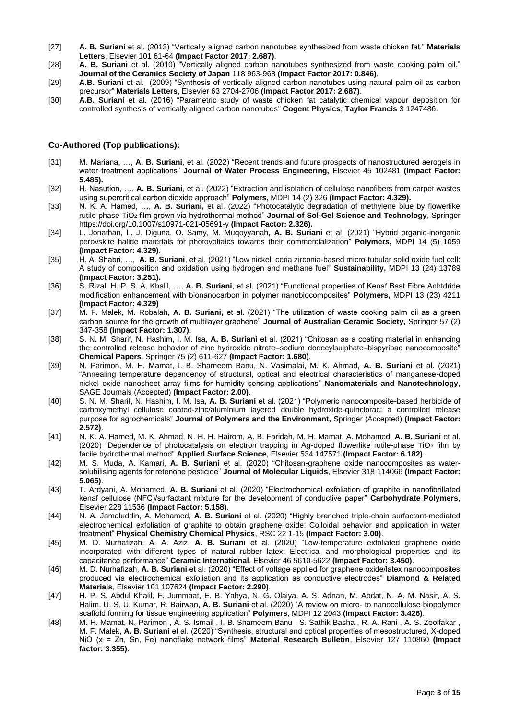- [27] **A. B. Suriani** et al. (2013) "Vertically aligned carbon nanotubes synthesized from waste chicken fat." **Materials Letters**, Elsevier 101 61-64 **(Impact Factor 2017: 2.687)**.
- [28] **A. B. Suriani** et al. (2010) "Vertically aligned carbon nanotubes synthesized from waste cooking palm oil." **Journal of the Ceramics Society of Japan** 118 963-968 **(Impact Factor 2017: 0.846)**.
- [29] **A.B. Suriani** et al. (2009) "Synthesis of vertically aligned carbon nanotubes using natural palm oil as carbon precursor" **Materials Letters**, Elsevier 63 2704-2706 **(Impact Factor 2017: 2.687)**.
- [30] **A.B. Suriani** et al. (2016) "Parametric study of waste chicken fat catalytic chemical vapour deposition for controlled synthesis of vertically aligned carbon nanotubes" **Cogent Physics**, **Taylor Francis** 3 1247486.

### **Co-Authored (Top publications):**

- [31] M. Mariana, …, **A. B. Suriani**, et al. (2022) "Recent trends and future prospects of nanostructured aerogels in water treatment applications" **Journal of Water Process Engineering,** Elsevier 45 102481 **(Impact Factor: 5.485).**
- [32] H. Nasution, …, **A. B. Suriani**, et al. (2022) "Extraction and isolation of cellulose nanofibers from carpet wastes using supercritical carbon dioxide approach" **Polymers,** MDPI 14 (2) 326 **(Impact Factor: 4.329).**
- [33] N. K. A. Hamed, …, **A. B. Suriani,** et al. (2022) "Photocatalytic degradation of methylene blue by flowerlike rutile-phase TiO<sup>2</sup> film grown via hydrothermal method" **Journal of Sol-Gel Science and Technology**, Springer <https://doi.org/10.1007/s10971-021-05691-y> **(Impact Factor: 2.326).**
- [34] L. Jonathan, L. J. Diguna, O. Samy, M. Muqoyyanah, **A. B. Suriani** et al. (2021) "Hybrid organic-inorganic perovskite halide materials for photovoltaics towards their commercialization" **Polymers,** MDPI 14 (5) 1059 **(Impact Factor: 4.329)**.
- [35] H. A. Shabri, …, **A. B. Suriani**, et al. (2021) "Low nickel, ceria zirconia-based micro-tubular solid oxide fuel cell: A study of composition and oxidation using hydrogen and methane fuel" **Sustainability,** MDPI 13 (24) 13789 **(Impact Factor: 3.251).**
- [36] S. Rizal, H. P. S. A. Khalil, …, **A. B. Suriani**, et al. (2021) "Functional properties of Kenaf Bast Fibre Anhtdride modification enhancement with bionanocarbon in polymer nanobiocomposites" **Polymers,** MDPI 13 (23) 4211 **(Impact Factor: 4.329)**
- [37] M. F. Malek, M. Robalah, **A. B. Suriani,** et al. (2021) "The utilization of waste cooking palm oil as a green carbon source for the growth of multilayer graphene" **Journal of Australian Ceramic Society,** Springer 57 (2) 347-358 **(Impact Factor: 1.307)**.
- [38] S. N. M. Sharif, N. Hashim, I. M. Isa, **A. B. Suriani** et al. (2021) "Chitosan as a coating material in enhancing the controlled release behavior of zinc hydroxide nitrate–sodium dodecylsulphate–bispyribac nanocomposite" **Chemical Papers**, Springer 75 (2) 611-627 **(Impact Factor: 1.680)**.
- [39] N. Parimon, M. H. Mamat, I. B. Shameem Banu, N. Vasimalai, M. K. Ahmad, **A. B. Suriani** et al. (2021) "Annealing temperature dependency of structural, optical and electrical characteristics of manganese-doped nickel oxide nanosheet array films for humidity sensing applications" **Nanomaterials and Nanotechnology**, SAGE Journals (Accepted) **(Impact Factor: 2.00)**.
- [40] S. N. M. Sharif, N. Hashim, I. M. Isa, **A. B. Suriani** et al. (2021) "Polymeric nanocomposite-based herbicide of carboxymethyl cellulose coated-zinc/aluminium layered double hydroxide-quinclorac: a controlled release purpose for agrochemicals" **Journal of Polymers and the Environment,** Springer (Accepted) **(Impact Factor: 2.572)**.
- [41] N. K. A. Hamed, M. K. Ahmad, N. H. H. Hairom, A. B. Faridah, M. H. Mamat, A. Mohamed, **A. B. Suriani** et al. (2020) "Dependence of photocatalysis on electron trapping in Ag-doped flowerlike rutile-phase TiO<sup>2</sup> film by facile hydrothermal method" **Applied Surface Science**, Elsevier 534 147571 **(Impact Factor: 6.182)**.
- [42] M. S. Muda, A. Kamari, **A. B. Suriani** et al. (2020) "Chitosan-graphene oxide nanocomposites as watersolubilising agents for retenone pesticide" **Journal of Molecular Liquids**, Elsevier 318 114066 **(Impact Factor: 5.065)**.
- [43] T. Ardyani, A. Mohamed, **A. B. Suriani** et al. (2020) "Electrochemical exfoliation of graphite in nanofibrillated kenaf cellulose (NFC)/surfactant mixture for the development of conductive paper" **Carbohydrate Polymers**, Elsevier 228 11536 **(Impact Factor: 5.158)**.
- [44] N. A. Jamaluddin, A. Mohamed, **A. B. Suriani** et al. (2020) "Highly branched triple-chain surfactant-mediated electrochemical exfoliation of graphite to obtain graphene oxide: Colloidal behavior and application in water treatment" **Physical Chemistry Chemical Physics**, RSC 22 1-15 **(Impact Factor: 3.00)**.
- [45] M. D. Nurhafizah, A. A. Aziz, **A. B. Suriani** et al. (2020) "Low-temperature exfoliated graphene oxide incorporated with different types of natural rubber latex: Electrical and morphological properties and its capacitance performance" **Ceramic International**, Elsevier 46 5610-5622 **(Impact Factor: 3.450)**.
- [46] M. D. Nurhafizah, **A. B. Suriani** et al. (2020) "Effect of voltage applied for graphene oxide/latex nanocomposites produced via electrochemical exfoliation and its application as conductive electrodes" **Diamond & Related Materials**, Elsevier 101 107624 **(Impact Factor: 2.290)**.
- [47] H. P. S. Abdul Khalil, F. Jummaat, E. B. Yahya, N. G. Olaiya, A. S. Adnan, M. Abdat, N. A. M. Nasir, A. S. Halim, U. S. U. Kumar, R. Bairwan, **A. B. Suriani** et al. (2020) "A review on micro- to nanocellulose biopolymer scaffold forming for tissue engineering application" **Polymers**, MDPI 12 2043 **(Impact Factor: 3.426)**.
- [48] M. H. Mamat, N. Parimon , A. S. Ismail , I. B. Shameem Banu , S. Sathik Basha , R. A. Rani , A. S. Zoolfakar , M. F. Malek, **A. B. Suriani** et al. (2020) "Synthesis, structural and optical properties of mesostructured, X-doped NiO (x = Zn, Sn, Fe) nanoflake network films" **Material Research Bulletin**, Elsevier 127 110860 **(Impact factor: 3.355)**.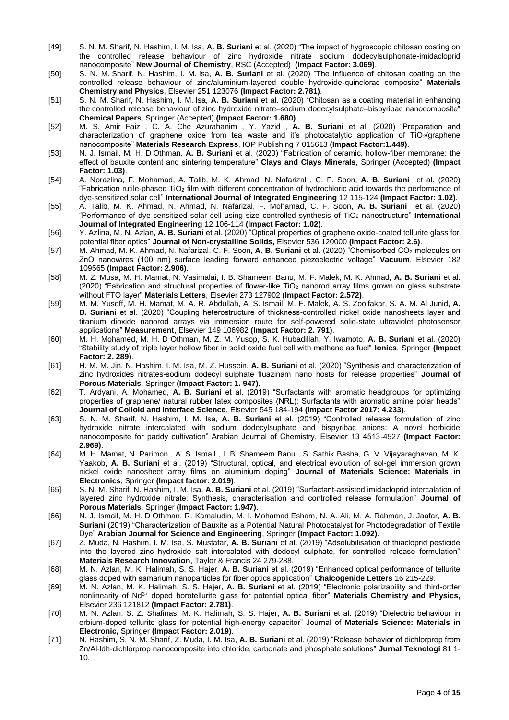- [49] S. N. M. Sharif, N. Hashim, I. M. Isa, **A. B. Suriani** et al. (2020) "The impact of hygroscopic chitosan coating on the controlled release behaviour of zinc hydroxide nitrate sodium dodecylsulphonate-imidacloprid nanocomposite" **New Journal of Chemistry**, RSC (Accepted) **(Impact Factor: 3.069)**.
- [50] S. N. M. Sharif, N. Hashim, I. M. Isa, **A. B. Suriani** et al. (2020) "The influence of chitosan coating on the controlled release behaviour of zinc/aluminium-layered double hydroxide-quinclorac composite" **Materials Chemistry and Physics**, Elsevier 251 123076 **(Impact Factor: 2.781)**.
- [51] S. N. M. Sharif, N. Hashim, I. M. Isa, **A. B. Suriani** et al. (2020) "Chitosan as a coating material in enhancing the controlled release behaviour of zinc hydroxide nitrate–sodium dodecylsulphate–bispyribac nanocomposite" **Chemical Papers**, Springer (Accepted) **(Impact Factor: 1.680)**.
- [52] M. S. Amir Faiz , C. A. Che Azurahanim , Y. Yazid , **A. B. Suriani** et al. (2020) "Preparation and characterization of graphene oxide from tea waste and it's photocatalytic application of TiO2/graphene nanocomposite" **Materials Research Express**, IOP Publishing 7 015613 **(Impact Factor:1.449)**.
- [53] N. J. Ismail, M. H. D Othman, **A. B. Suriani** et al. (2020) "Fabrication of ceramic, hollow-fiber membrane: the effect of bauxite content and sintering temperature" **Clays and Clays Minerals**, Springer (Accepted) **(Impact Factor: 1.03)**.
- [54] A. Norazlina, F. Mohamad, A. Talib, M. K. Ahmad, N. Nafarizal , C. F. Soon, **A. B. Suriani** et al. (2020) "Fabrication rutile-phased TiO<sup>2</sup> film with different concentration of hydrochloric acid towards the performance of dye-sensitized solar cell" **International Journal of Integrated Engineering** 12 115-124 **(Impact Factor: 1.02)**.
- [55] A. Talib, M. K. Ahmad, N. Ahmad, N. Nafarizal, F. Mohamad, C. F. Soon, **A. B. Suriani** et al. (2020) "Performance of dye-sensitized solar cell using size controlled synthesis of TiO<sup>2</sup> nanostructure" **International Journal of Integrated Engineering** 12 106-114 **(Impact Factor: 1.02)**.
- [56] Y. Azlina, M. N. Azlan, **A. B. Suriani** et al. (2020) "Optical properties of graphene oxide-coated tellurite glass for potential fiber optics" **Journal of Non-crystalline Solids,** Elsevier 536 120000 **(Impact Factor: 2.6)**.
- [57] M. Ahmad, M. K. Ahmad, N. Nafarizal, C. F. Soon, **A. B. Suriani** et al. (2020) "Chemisorbed CO<sup>2</sup> molecules on ZnO nanowires (100 nm) surface leading forward enhanced piezoelectric voltage" **Vacuum**, Elsevier 182 109565 **(Impact Factor: 2.906)**.
- [58] M. Z. Musa, M. H. Mamat, N. Vasimalai, I. B. Shameem Banu, M. F. Malek, M. K. Ahmad, **A. B. Suriani** et al. (2020) "Fabrication and structural properties of flower-like TiO<sup>2</sup> nanorod array films grown on glass substrate without FTO layer" **Materials Letters**, Elsevier 273 127902 **(Impact Factor: 2.572)**.
- [59] M. M. Yusoff, M. H. Mamat, M. A. R. Abdullah, A. S. Ismail, M. F. Malek, A. S. Zoolfakar, S. A. M. Al Junid, **A. B. Suriani** et al. (2020) "Coupling heterostructure of thickness-controlled nickel oxide nanosheets layer and titanium dioxide nanorod arrays via immersion route for self-powered solid-state ultraviolet photosensor applications" **Measurement**, Elsevier 149 106982 **(Impact Factor: 2. 791)**.
- [60] M. H. Mohamed, M. H. D Othman, M. Z. M. Yusop, S. K. Hubadillah, Y. Iwamoto, **A. B. Suriani** et al. (2020) "Stability study of triple layer hollow fiber in solid oxide fuel cell with methane as fuel" **Ionics**, Springer **(Impact Factor: 2. 289)**.
- [61] H. M. M. Jin, N. Hashim, I. M. Isa, M. Z. Hussein, **A. B. Suriani** et al. (2020) "Synthesis and characterization of zinc hydroxides nitrates-sodium dodecyl sulphate fluazinam nano hosts for release properties" **Journal of Porous Materials**, Springer **(Impact Factor: 1. 947)**.
- [62] T. Ardyani, A. Mohamed, **A. B. Suriani** et al. (2019) "Surfactants with aromatic headgroups for optimizing properties of graphene/ natural rubber latex composites (NRL): Surfactants with aromatic amine polar heads" **Journal of Colloid and Interface Science**, Elsevier 545 184-194 **(Impact Factor 2017: 4.233)**.
- [63] S. N. M. Sharif, N. Hashim, I. M. Isa, **A. B. Suriani** et al. (2019) "Controlled release formulation of zinc hydroxide nitrate intercalated with sodium dodecylsuphate and bispyribac anions: A novel herbicide nanocomposite for paddy cultivation" Arabian Journal of Chemistry, Elsevier 13 4513-4527 **(Impact Factor: 2.969)**.
- [64] M. H. Mamat, N. Parimon , A. S. Ismail , I. B. Shameem Banu , S. Sathik Basha, G. V. Vijayaraghavan, M. K. Yaakob, **A. B. Suriani** et al. (2019) "Structural, optical, and electrical evolution of sol-gel immersion grown nickel oxide nanosheet array films on aluminium doping" **Journal of Materials Science: Materials in Electronics**, Springer **(Impact factor: 2.019)**.
- [65] S. N. M. Sharif, N. Hashim, I. M. Isa, **A. B. Suriani** et al. (2019) "Surfactant-assisted imidacloprid intercalation of layered zinc hydroxide nitrate: Synthesis, characterisation and controlled release formulation" **Journal of Porous Materials**, Springer **(Impact Factor: 1.947)**.
- [66] N. J. Ismail, M. H. D Othman, R. Kamaludin, M. I. Mohamad Esham, N. A. Ali, M. A. Rahman, J. Jaafar, **A. B. Suriani** (2019) "Characterization of Bauxite as a Potential Natural Photocatalyst for Photodegradation of Textile Dye" **Arabian Journal for Science and Engineering**, Springer **(Impact Factor: 1.092)**.
- [67] Z. Muda, N. Hashim, I. M. Isa, S. Mustafar, **A. B. Suriani** et al. (2019) "Adsolubilisation of thiacloprid pesticide into the layered zinc hydroxide salt intercalated with dodecyl sulphate, for controlled release formulation" **Materials Research Innovation**, Taylor & Francis 24 279-288.
- [68] M. N. Azlan, M. K. Halimah, S. S. Hajer, **A. B. Suriani** et al. (2019) "Enhanced optical performance of tellurite glass doped with samarium nanoparticles for fiber optics application" **Chalcogenide Letters** 16 215-229.
- [69] M. N. Azlan, M. K. Halimah, S. S. Hajer, **A. B. Suriani** et al. (2019) "Electronic polarizability and third-order nonlinearity of Nd3+ doped borotellurite glass for potential optical fiber" **Materials Chemistry and Physics,**  Elsevier 236 121812 **(Impact Factor: 2.781)**.
- [70] M. N. Azlan, S. Z. Shafinas, M. K. Halimah, S. S. Hajer, **A. B. Suriani** et al. (2019) "Dielectric behaviour in erbium-doped tellurite glass for potential high-energy capacitor" Journal of **Materials Science: Materials in Electronic,** Springer **(Impact Factor: 2.019)**.
- [71] N. Hashim, S. N. M. Sharif, Z. Muda, I. M. Isa, **A. B. Suriani** et al. (2019) "Release behavior of dichlorprop from Zn/Al-ldh-dichlorprop nanocomposite into chloride, carbonate and phosphate solutions" **Jurnal Teknologi** 81 1- 10.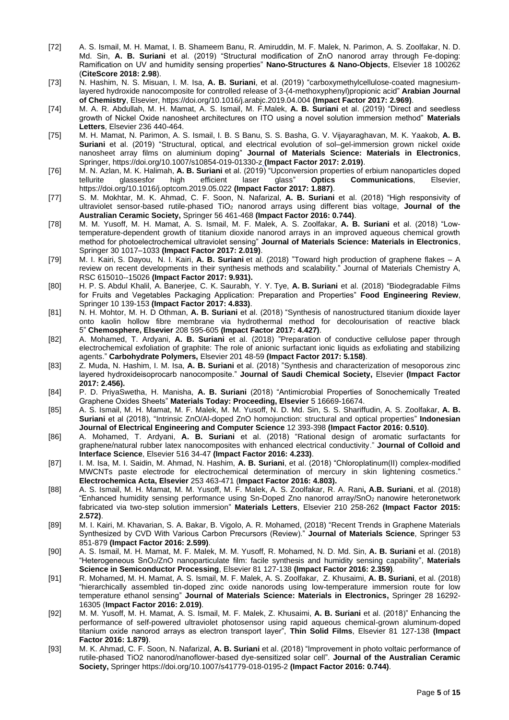- [72] A. S. Ismail, M. H. Mamat, I. B. Shameem Banu, R. Amiruddin, M. F. Malek, N. Parimon, A. S. Zoolfakar, N. D. Md. Sin, **A. B. Suriani** et al. (2019) "Structural modification of ZnO nanorod array through Fe-doping: Ramification on UV and humidity sensing properties" **Nano-Structures & Nano-Objects**, Elsevier 18 100262 (**CiteScore 2018: 2.98**).
- [73] N. Hashim, N. S. Misuan, I. M. Isa, **A. B. Suriani**, et al. (2019) "carboxymethylcellulose-coated magnesiumlayered hydroxide nanocomposite for controlled release of 3-(4-methoxyphenyl)propionic acid" **Arabian Journal of Chemistry**, Elsevier[, https://doi.org/10.1016/j.arabjc.2019.04.004](https://doi.org/10.1016/j.arabjc.2019.04.004) **(Impact Factor 2017: 2.969)**.
- [74] M. A. R. Abdullah, M. H. Mamat, A. S. Ismail, M. F.Malek, **A. B. Suriani** et al. (2019) "Direct and seedless growth of Nickel Oxide nanosheet architectures on ITO using a novel solution immersion method" **Materials Letters**, Elsevier 236 440-464.
- [75] M. H. Mamat, N. Parimon, A. S. Ismail, I. B. S Banu, S. S. Basha, G. V. Vijayaraghavan, M. K. Yaakob, **A. B. Suriani** et al. (2019) "Structural, optical, and electrical evolution of sol–gel-immersion grown nickel oxide nanosheet array films on aluminium doping" **Journal of Materials Science: Materials in Electronics**, Springer, https://doi.org/10.1007/s10854-019-01330-z **(Impact Factor 2017: 2.019)**.
- [76] M. N. Azlan, M. K. Halimah, **A. B. Suriani** et al. (2019) "Upconversion properties of erbium nanoparticles doped tellurite glassesfor high efficient laser glass" **Optics Communications**, Elsevier, https://doi.org/10.1016/j.optcom.2019.05.022 **(Impact Factor 2017: 1.887)**.
- [77] S. M. Mokhtar, M. K. Ahmad, C. F. Soon, N. Nafarizal, **A. B. Suriani** et al. (2018) "High responsivity of ultraviolet sensor-based rutile-phased TiO<sup>2</sup> nanorod arrays using different bias voltage, **Journal of the Australian Ceramic Society,** Springer 56 461-468 **(Impact Factor 2016: 0.744)**.
- [78] M. M. Yusoff, M. H. Mamat, A. S. Ismail, M. F. Malek, A. S. Zoolfakar, **A. B. Suriani** et al. (2018) "Lowtemperature-dependent growth of titanium dioxide nanorod arrays in an improved aqueous chemical growth method for photoelectrochemical ultraviolet sensing" **Journal of Materials Science: Materials in Electronics**, Springer 30 1017–1033 **(Impact Factor 2017: 2.019)**.
- [79] M. I. Kairi, [S. Dayou,](http://pubs.rsc.org/en/results?searchtext=Author%3ASebastian%20Dayou) N. [I. Kairi,](http://pubs.rsc.org/en/results?searchtext=Author%3ANurul%20Izni%20Kairi) **A. B. Suriani** et al. (2018) "Toward high production of graphene flakes A review on recent developments in their synthesis methods and scalability." Journal of Materials Chemistry A, RSC 615010--15026 **(Impact Factor 2017: 9.931).**
- [80] H. P. S. Abdul Khalil, A. Banerjee, C. K. Saurabh, Y. Y. Tye, **A. B. Suriani** et al. (2018) "Biodegradable Films for Fruits and Vegetables Packaging Application: Preparation and Properties" **Food Engineering Review**, Springer 10 139-153 **(Impact Factor 2017: 4.833)**.
- [81] N. H. Mohtor, M. H. D Othman, **A. B. Suriani** et al. (2018) "Synthesis of nanostructured titanium dioxide layer onto kaolin hollow fibre membrane via hydrothermal method for decolourisation of reactive black 5" **Chemosphere, Elsevier** 208 595-605 **(Impact Factor 2017: 4.427)**.
- [82] A. Mohamed, T. Ardyani, **A. B. Suriani** et al. (2018) "Preparation of conductive cellulose paper through electrochemical exfoliation of graphite: The role of anionic surfactant ionic liquids as exfoliating and stabilizing agents." **Carbohydrate Polymers,** Elsevier 201 48-59 **(Impact Factor 2017: 5.158)**.
- [83] Z. Muda, N. Hashim, I. M. Isa, **A. B. Suriani** et al. (2018) "Synthesis and characterization of mesoporous zinc layered hydroxideisoprocarb nanocomposite." **Journal of Saudi Chemical Society,** Elsevier **(Impact Factor 2017: 2.456).**
- [84] P. D. PriyaSwetha, H. Manisha, **A. B. Suriani** (2018) "Antimicrobial Properties of Sonochemically Treated Graphene Oxides Sheets" **Materials Today: Proceeding, Elsevier** 5 16669-16674.
- [85] A. S. Ismail, M. H. Mamat, M. F. Malek, M. M. Yusoff, N. D. Md. Sin, S. S. Shariffudin, A. S. Zoolfakar, **A. B. Suriani** et al (2018), "Intrinsic ZnO/Al-doped ZnO homojunction: structural and optical properties" **Indonesian Journal of Electrical Engineering and Computer Science** 12 393-398 **(Impact Factor 2016: 0.510)**.
- [86] A. Mohamed, T. Ardyani, **A. B. Suriani** et al. (2018) "Rational design of aromatic surfactants for graphene/natural rubber latex nanocomposites with enhanced electrical conductivity." **Journal of Colloid and Interface Science**, Elsevier 516 34-47 **(Impact Factor 2016: 4.233)**.
- [87] I. M. Isa, M. I. Saidin, M. Ahmad, N. Hashim, **A. B. Suriani**, et al. (2018) "Chloroplatinum(II) complex-modified MWCNTs paste electrode for electrochemical determination of mercury in skin lightening cosmetics." **Electrochemica Acta, Elsevier** 253 463-471 (**Impact Factor 2016: 4.803).**
- [88] A. S. Ismail, M. H. Mamat, M. M. Yusoff, M. F. Malek, A. S. Zoolfakar, R. A. Rani**, A.B. Suriani**, et al. (2018) "Enhanced humidity sensing performance using Sn-Doped Zno nanorod array/SnO2 nanowire heteronetwork fabricated via two-step solution immersion" **Materials Letters**, Elsevier 210 258-262 **(Impact Factor 2015: 2.572)**.
- [89] M. I. Kairi, M. Khavarian, S. A. Bakar, B. [Vigolo, A](https://ezproxy.um.edu.my:2279/authid/detail.uri?authorId=6603195854&eid=2-s2.0-85031902770). R. [Mohamed, \(2018\)](https://ezproxy.um.edu.my:2279/authid/detail.uri?authorId=56816253400&eid=2-s2.0-85031902770) "Recent Trends in Graphene Materials Synthesized by CVD With Various Carbon Precursors (Review)." **Journal of Materials Science**, Springer 53 851-879 **(Impact Factor 2016: 2.599)**.
- [90] A. S. Ismail, M. H. Mamat, M. F. Malek, M. M. Yusoff, R. Mohamed, N. D. Md. Sin, **A. B. Suriani** et al. (2018) "Heterogeneous SnO2/ZnO nanoparticulate film: facile synthesis and humidity sensing capability", **Materials Science in Semiconductor Processing**, Elsevier 81 127-138 **(Impact Factor 2016: 2.359)**.
- [91] R. Mohamed, M. H. Mamat, A. S. Ismail, M. F. Malek, A. S. Zoolfakar, Z. Khusaimi, **A. B. Suriani**, et al. (2018) "hierarchically assembled tin-doped zinc oxide nanorods using low-temperature immersion route for low temperature ethanol sensing" **[Journal of Materials Science: Materials in Electronics,](https://ezproxy.um.edu.my:2279/sourceid/21177?origin=recordpage)** Springer 28 16292- 16305 (**Impact Factor 2016: 2.019)**.
- [92] M. M. Yusoff, M. H. Mamat, A. S. Ismail, M. F. Malek, Z. Khusaimi, **A. B. Suriani** et al. (2018)" Enhancing the performance of self-powered ultraviolet photosensor using rapid aqueous chemical-grown aluminum-doped titanium oxide nanorod arrays as electron transport layer", **Thin Solid Films**, Elsevier 81 127-138 **(Impact Factor 2016: 1.879)**.
- [93] M. K. Ahmad, C. F. Soon, N. Nafarizal, **A. B. Suriani** et al. (2018) "Improvement in photo voltaic performance of rutile-phased TiO2 nanorod/nanoflower-based dye-sensitized solar cell". **Journal of the Australian Ceramic Society,** Springer <https://doi.org/10.1007/s41779-018-0195-2> **(Impact Factor 2016: 0.744)**.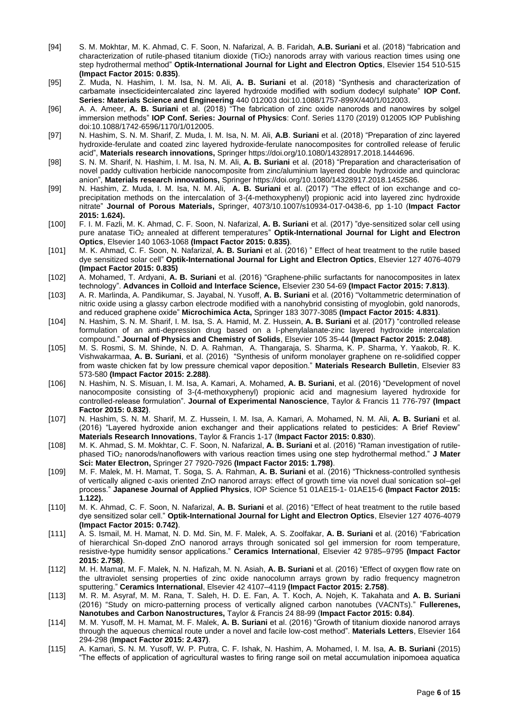- [94] S. M. Mokhtar, M. K. Ahmad, C. F. Soon, N. Nafarizal, A. B. Faridah, **A.B. Suriani** et al. (2018) "fabrication and characterization of rutile-phased titanium dioxide (TiO2) nanorods array with various reaction times using one step hydrothermal method" **Optik-International Journal for Light and Electron Optics**, Elsevier 154 510-515 **(Impact Factor 2015: 0.835)**.
- [95] Z. Muda, N. Hashim, I. M. Isa, N. M. Ali, **A. B. Suriani** et al. (2018) "Synthesis and characterization of carbamate insecticideintercalated zinc layered hydroxide modified with sodium dodecyl sulphate" **IOP Conf. Series: Materials Science and Engineering** 440 012003 doi:10.1088/1757-899X/440/1/012003.
- [96] A. A. Ameer, **A. B. Suriani** et al. (2018) "The fabrication of zinc oxide nanorods and nanowires by solgel immersion methods" **IOP Conf. Series: Journal of Physics**: Conf. Series 1170 (2019) 012005 IOP Publishing doi:10.1088/1742-6596/1170/1/012005.
- [97] N. Hashim, S. N. M. Sharif, Z. Muda, I. M. Isa, N. M. Ali, **A.B**. **Suriani** et al. (2018) "Preparation of zinc layered hydroxide-ferulate and coated zinc layered hydroxide-ferulate nanocomposites for controlled release of ferulic acid", **Materials research innovations,** Springer https://doi.org/10.1080/14328917.2018.1444696.
- [98] S. N. M. Sharif, N. Hashim, I. M. Isa, N. M. Ali, **A. B. Suriani** et al. (2018) "Preparation and characterisation of novel paddy cultivation herbicide nanocomposite from zinc/aluminium layered double hydroxide and quinclorac anion", **Materials research innovations,** Springer https://doi.org/10.1080/14328917.2018.1452586.
- [99] N. Hashim, Z. Muda, I. M. Isa, N. M. Ali, **A. B. Suriani** et al. (2017) "The effect of ion exchange and coprecipitation methods on the intercalation of 3-(4-methoxyphenyl) propionic acid into layered zinc hydroxide nitrate" **[Journal of Porous Materials,](http://ezproxy.um.edu.my:2433/journal/10934)** Springer, 4073/10.1007/s10934-017-0438-6, pp 1-10 (**Impact Factor 2015: 1.624).**
- [100] F. I. M. Fazli, M. K. Ahmad, C. F. Soon, N. Nafarizal, **A. B. Suriani** et al. (2017) "dye-sensitized solar cell using pure anatase TiO<sup>2</sup> annealed at different temperatures" **Optik-International Journal for Light and Electron Optics**, Elsevier 140 1063-1068 **(Impact Factor 2015: 0.835)**.
- [101] M. K. Ahmad, C. F. Soon, N. Nafarizal, **A. B. Suriani** et al. (2016) " Effect of heat treatment to the rutile based dye sensitized solar cell" **Optik-International Journal for Light and Electron Optics**, Elsevier 127 4076-4079 **(Impact Factor 2015: 0.835)**
- [102] A. Mohamed, T. Ardyani, **A. B. Suriani** et al. (2016) "Graphene-philic surfactants for nanocomposites in latex technology". **Advances in Colloid and Interface Science,** Elsevier 230 54-69 **(Impact Factor 2015: 7.813)**.
- [103] A. R. Marlinda, A. Pandikumar, S. Jayabal, N. Yusoff, **A. B. Suriani** et al. (2016) "Voltammetric determination of nitric oxide using a glassy carbon electrode modified with a nanohybrid consisting of myoglobin, gold nanorods, and reduced graphene oxide" **Microchimica Acta,** Springer 183 3077-3085 **(Impact Factor 2015: 4.831)**.
- [104] N. [Hashim, S. N. M.](http://ezproxy.um.edu.my:2095/science/article/pii/S0022369716307612) Sharif, [I. M.](http://ezproxy.um.edu.my:2095/science/article/pii/S0022369716307612) Isa, S. A. [Hamid,](http://ezproxy.um.edu.my:2095/science/article/pii/S0022369716307612) M. Z. [Hussein,](http://ezproxy.um.edu.my:2095/science/article/pii/S0022369716307612) **A. B. Suriani** et al. (2017) "controlled release formulation of an anti-depression drug based on a l-phenylalanate-zinc layered hydroxide intercalation compound." **[Journal of Physics and Chemistry of Solids](http://ezproxy.um.edu.my:2095/science/journal/00223697)**, Elsevier 105 35-44 **(Impact Factor 2015: 2.048)**.
- [105] M. S. Rosmi, S. M. Shinde, N. D. A. Rahman, A. Thangaraja, S. Sharma, K. P. Sharma, Y. Yaakob, R. K. Vishwakarmaa, **A. B. Suriani**, et al. (2016) "Synthesis of uniform monolayer graphene on re-solidified copper from waste chicken fat by low pressure chemical vapor deposition." **Materials Research Bulletin**, Elsevier 83 573-580 **(Impact Factor 2015: 2.288)**.
- [106] N. Hashim, N. S. Misuan, I. M. Isa, A. Kamari, A. Mohamed, **A. B. Suriani**, et al. (2016) "Development of novel nanocomposite consisting of 3-(4-methoxyphenyl) propionic acid and magnesium layered hydroxide for controlled-release formulation". **Journal of Experimental Nanoscience**, Taylor & Francis 11 776-797 **(Impact Factor 2015: 0.832)**.
- [107] N. Hashim, S. N. M. Sharif, M. Z. Hussein, I. M. Isa, A. Kamari, A. Mohamed, N. M. Ali, **A. B. Suriani** et al. (2016) "Layered hydroxide anion exchanger and their applications related to pesticides: A Brief Review" **Materials Research Innovations**, Taylor & Francis 1-17 (**Impact Factor 2015: 0.830**).
- [108] M. K. Ahmad, S. M. Mokhtar, C. F. Soon, N. Nafarizal, **A. B. Suriani** et al. (2016) "Raman investigation of rutilephased TiO<sup>2</sup> nanorods/nanoflowers with various reaction times using one step hydrothermal method." **J Mater Sci: Mater Electron,** Springer 27 7920-7926 **(Impact Factor 2015: 1.798)**.
- [109] M. F. Malek, M. H. Mamat, T. Soga, S. A. Rahman, **A. B. Suriani** et al. (2016) "Thickness-controlled synthesis of vertically aligned c-axis oriented ZnO nanorod arrays: effect of growth time via novel dual sonication sol–gel process." **Japanese Journal of Applied Physics**, IOP Science 51 01AE15-1- 01AE15-6 **(Impact Factor 2015: 1.122).**
- [110] M. K. Ahmad, C. F. Soon, N. Nafarizal, **A. B. Suriani** et al. (2016) "Effect of heat treatment to the rutile based dye sensitized solar cell." **Optik-International Journal for Light and Electron Optics**, Elsevier 127 4076-4079 **(Impact Factor 2015: 0.742)**.
- [111] A. S. Ismail, M. H. Mamat, N. D. Md. Sin, M. F. Malek, A. S. Zoolfakar, **A. B. Suriani** et al. (2016) "Fabrication of hierarchical Sn-doped ZnO nanorod arrays through sonicated sol gel immersion for room temperature, resistive-type humidity sensor applications." **Ceramics International**, Elsevier 42 9785–9795 **(Impact Factor 2015: 2.758)**.
- [112] M. H. Mamat, M. F. Malek, N. N. Hafizah, M. N. Asiah, **A. B. Suriani** et al. (2016) "Effect of oxygen flow rate on the ultraviolet sensing properties of zinc oxide nanocolumn arrays grown by radio frequency magnetron sputtering." **Ceramics International**, Elsevier 42 4107–4119 **(Impact Factor 2015: 2.758)**.
- [113] M. R. M. Asyraf, M. M. Rana, T. Saleh, H. D. E. Fan, A. T. Koch, A. Nojeh, K. Takahata and **A. B. Suriani** (2016) "Study on micro-patterning process of vertically aligned carbon nanotubes (VACNTs)." **Fullerenes, Nanotubes and Carbon Nanostructures,** Taylor & Francis 24 88-99 (**Impact Factor 2015: 0.84)**.
- [114] M. M. Yusoff, M. H. Mamat, M. F. Malek, **A. B. Suriani** et al. (2016) "Growth of titanium dioxide nanorod arrays through the aqueous chemical route under a novel and facile low-cost method". **Materials Letters**, Elsevier 164 294-298 (**Impact Factor 2015: 2.437)**.
- [115] A. Kamari, S. N. M. Yusoff, W. P. Putra, C. F. Ishak, N. Hashim, A. Mohamed, I. M. Isa, **A. B. Suriani** (2015) "The effects of application of agricultural wastes to firing range soil on metal accumulation inipomoea aquatica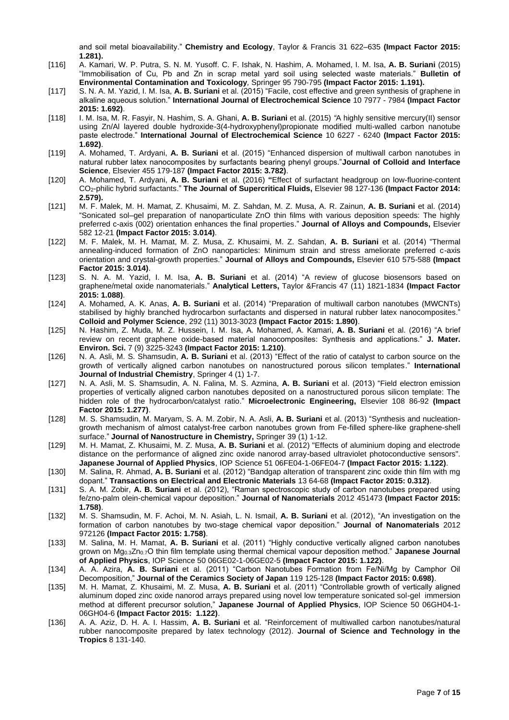and soil metal bioavailability." **Chemistry and Ecology**, Taylor & Francis 31 622–635 **(Impact Factor 2015: 1.281).**

- [116] A. Kamari, W. P. Putra, S. N. M. Yusoff. C. F. Ishak, N. Hashim, A. Mohamed, I. M. Isa, **A. B. Suriani** (2015) "Immobilisation of Cu, Pb and Zn in scrap metal yard soil using selected waste materials." **Bulletin of Environmental Contamination and Toxicology***,* Springer 95 790-795 **(Impact Factor 2015: 1.191).**
- [117] S. N. A. M. Yazid, I. M. Isa, **A. B. Suriani** et al. (2015) "Facile, cost effective and green synthesis of graphene in alkaline aqueous solution." **International Journal of Electrochemical Science** 10 7977 - 7984 **(Impact Factor 2015: 1.692)**.
- [118] I. M. Isa, M. R. Fasyir, N. Hashim, S. A. Ghani, **A. B. Suriani** et al. (2015) *"*A highly sensitive mercury(II) sensor using Zn/Al layered double hydroxide-3(4-hydroxyphenyl)propionate modified multi-walled carbon nanotube paste electrode." **International Journal of Electrochemical Science** 10 6227 - 6240 **(Impact Factor 2015: 1.692)**.
- [119] A. Mohamed, T. Ardyani, **A. B. Suriani** et al. (2015) "Enhanced dispersion of multiwall carbon nanotubes in natural rubber latex nanocomposites by surfactants bearing phenyl groups."**Journal of Colloid and Interface Science**, Elsevier 455 179-187 **(Impact Factor 2015: 3.782)**.
- [120] A. Mohamed, T. Ardyani, **A. B. Suriani** et al. (2016) **"**Effect of surfactant headgroup on low-fluorine-content CO2-philic hybrid surfactants." **The Journal of Supercritical Fluids,** Elsevier 98 127-136 **(Impact Factor 2014: 2.579).**
- [121] M. F. Malek, M. H. Mamat, Z. Khusaimi, M. Z. Sahdan, M. Z. Musa, A. R. Zainun, **A. B. Suriani** et al. (2014) ["Sonicated sol–gel preparation of nanoparticulate ZnO thin films with various deposition speeds: The highly](http://www.sciencedirect.com/science/article/pii/S0925838813018379)  [preferred c-axis \(002\) orientation enhances the final properties.](http://www.sciencedirect.com/science/article/pii/S0925838813018379)" **Journal of Alloys and Compounds,** Elsevier 582 12-21 **(Impact Factor 2015: 3.014)**.
- [122] M. F. Malek, M. H. Mamat, M. Z. Musa, Z. Khusaimi, M. Z. Sahdan, **A. B. Suriani** et al. (2014) ["Thermal](http://www.sciencedirect.com/science/article/pii/S0925838814011025)  [annealing-induced formation of ZnO nanoparticles: Minimum strain and stress ameliorate preferred c-axis](http://www.sciencedirect.com/science/article/pii/S0925838814011025)  [orientation and crystal-growth properties.](http://www.sciencedirect.com/science/article/pii/S0925838814011025)" **Journal of Alloys and Compounds,** Elsevier 610 575-588 **(Impact Factor 2015: 3.014)**.
- [123] S. N. A. M. Yazid, I. M. Isa, **A. B. Suriani** et al. (2014) ["A review of glucose biosensors based on](http://www.tandfonline.com/doi/abs/10.1080/00032719.2014.888731)  [graphene/metal oxide nanomaterials.](http://www.tandfonline.com/doi/abs/10.1080/00032719.2014.888731)" **Analytical Letters,** Taylor &Francis 47 (11) 1821-1834 **(Impact Factor 2015: 1.088)**.
- [124] A. Mohamed, A. K. Anas, **A. B. Suriani** et al. (2014) ["Preparation of multiwall carbon nanotubes \(MWCNTs\)](http://link.springer.com/article/10.1007/s00396-014-3354-1)  [stabilised by highly branched hydrocarbon surfactants and dispersed in natural rubber latex nanocomposites.](http://link.springer.com/article/10.1007/s00396-014-3354-1)" **Colloid and Polymer Science**, 292 (11) 3013-3023 **(Impact Factor 2015: 1.890)**.
- [125] N. Hashim, Z. Muda, M. Z. Hussein, I. M. Isa, A. Mohamed, A. Kamari, **A. B. Suriani** et al. (2016) "A brief review on recent graphene oxide-based material nanocomposites: Synthesis and applications." **J. Mater. Environ. Sci.** 7 (9) 3225-3243 **(Impact Factor 2015: 1.210)**.
- [126] N. A. Asli, M. S. Shamsudin, **A. B. Suriani** et al. (2013) ["Effect of the ratio of catalyst to carbon source on the](http://link.springer.com/article/10.1186/2228-5547-4-23)  [growth of vertically aligned carbon nanotubes on nanostructured porous silicon templates.](http://link.springer.com/article/10.1186/2228-5547-4-23)" **International Journal of Industrial Chemistry**, Springer 4 (1) 1-7.
- [127] N. A. Asli, M. S. Shamsudin, A. N. Falina, M. S. Azmina, **A. B. Suriani** et al. (2013) ["Field electron emission](http://www.sciencedirect.com/science/article/pii/S0167931713002062)  [properties of vertically aligned carbon nanotubes deposited on a nanostructured porous silicon template: The](http://www.sciencedirect.com/science/article/pii/S0167931713002062)  [hidden role of the hydrocarbon/catalyst ratio.](http://www.sciencedirect.com/science/article/pii/S0167931713002062)" **Microelectronic Engineering,** Elsevier 108 86-92 **(Impact Factor 2015: 1.277)**.
- [128] M. S. Shamsudin, M. Maryam, S. A. M. Zobir, N. A. Asli, **A. B. Suriani** et al. (2013) ["Synthesis and nucleation](http://link.springer.com/article/10.1186/2193-8865-3-13)[growth mechanism of almost catalyst-free carbon nanotubes grown from Fe-filled sphere-like graphene-shell](http://link.springer.com/article/10.1186/2193-8865-3-13)  [surface.](http://link.springer.com/article/10.1186/2193-8865-3-13)" **Journal of Nanostructure in Chemistry,** Springer 39 (1) 1-12.
- [129] M. H. Mamat, Z. Khusaimi, M. Z. Musa, **A. B. Suriani** et al. (2012) "Effects of aluminium doping and electrode distance on the performance of aligned zinc oxide nanorod array-based ultraviolet photoconductive sensors". **Japanese Journal of Applied Physics**, IOP Science 51 06FE04-1-06FE04-7 **(Impact Factor 2015: 1.122)**.
- [130] M. Salina, R. Ahmad, **A. B. Suriani** et al. (2012) "Bandgap alteration of transparent zinc oxide thin film with mg dopant." **Transactions on Electrical and Electronic Materials** 13 64-68 **(Impact Factor 2015: 0.312)**.
- [131] S. A. M. Zobir, **A. B. Suriani** et al. (2012), "Raman spectroscopic study of carbon nanotubes prepared using fe/zno-palm olein-chemical vapour deposition." **Journal of Nanomaterials** 2012 451473 **(Impact Factor 2015: 1.758)**.
- [132] M. S. Shamsudin, M. F. Achoi, M. N. Asiah, L. N. Ismail, **A. B. Suriani** et al. (2012), "An investigation on the formation of carbon nanotubes by two-stage chemical vapor deposition." **Journal of Nanomaterials** 2012 972126 **(Impact Factor 2015: 1.758)**.
- [133] M. Salina, M. H. Mamat, **A. B. Suriani** et al. (2011) "Highly conductive vertically aligned carbon nanotubes grown on Mg0.3Zn0.7O thin film template using thermal chemical vapour deposition method." **Japanese Journal of Applied Physics**, IOP Science 50 06GE02-1-06GE02-5 **(Impact Factor 2015: 1.122)**.
- [134] A. A. Azira, **A. B. Suriani** et al. (2011) "Carbon Nanotubes Formation from Fe/Ni/Mg by Camphor Oil Decomposition," **Journal of the Ceramics Society of Japan** 119 125-128 **(Impact Factor 2015: 0.698)**.
- [135] M. H. Mamat, Z. Khusaimi, M. Z. Musa, **A. B. Suriani** et al. (2011) "Controllable growth of vertically aligned aluminum doped zinc oxide nanorod arrays prepared using novel low temperature sonicated sol-gel immersion method at different precursor solution," **Japanese Journal of Applied Physics**, IOP Science 50 06GH04-1- 06GH04-6 **(Impact Factor 2015: 1.122)**.
- [136] A. A. Aziz, D. H. A. I. Hassim, **A. B. Suriani** et al. "Reinforcement of multiwalled carbon nanotubes/natural rubber nanocomposite prepared by latex technology (2012). **Journal of Science and Technology in the Tropics** 8 131-140.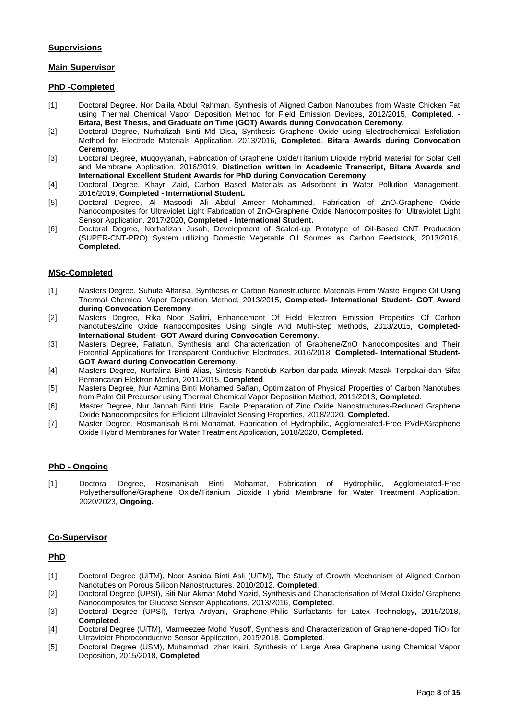# **Supervisions**

# **Main Supervisor**

#### **PhD -Completed**

- [1] Doctoral Degree, Nor Dalila Abdul Rahman, Synthesis of Aligned Carbon Nanotubes from Waste Chicken Fat using Thermal Chemical Vapor Deposition Method for Field Emission Devices, 2012/2015, **Completed**. - **Bitara, Best Thesis, and Graduate on Time (GOT) Awards during Convocation Ceremony**.
- [2] Doctoral Degree, Nurhafizah Binti Md Disa, Synthesis Graphene Oxide using Electrochemical Exfoliation Method for Electrode Materials Application, 2013/2016, **Completed**. **Bitara Awards during Convocation Ceremony**.
- [3] Doctoral Degree, Muqoyyanah, Fabrication of Graphene Oxide/Titanium Dioxide Hybrid Material for Solar Cell and Membrane Application. 2016/2019, **Distinction written in Academic Transcript, Bitara Awards and International Excellent Student Awards for PhD during Convocation Ceremony**.
- [4] Doctoral Degree, Khayri Zaid, Carbon Based Materials as Adsorbent in Water Pollution Management. 2016/2019, **Completed - International Student.**
- [5] Doctoral Degree, Al Masoodi Ali Abdul Ameer Mohammed, Fabrication of ZnO-Graphene Oxide Nanocomposites for Ultraviolet Light Fabrication of ZnO-Graphene Oxide Nanocomposites for Ultraviolet Light Sensor Application. 2017/2020, **Completed - International Student.**
- [6] Doctoral Degree, Norhafizah Jusoh, Development of Scaled-up Prototype of Oil-Based CNT Production (SUPER-CNT-PRO) System utilizing Domestic Vegetable Oil Sources as Carbon Feedstock, 2013/2016, **Completed.**

#### **MSc-Completed**

- [1] Masters Degree, Suhufa Alfarisa, Synthesis of Carbon Nanostructured Materials From Waste Engine Oil Using Thermal Chemical Vapor Deposition Method, 2013/2015, **Completed- International Student- GOT Award during Convocation Ceremony**.
- [2] Masters Degree, Rika Noor Safitri, Enhancement Of Field Electron Emission Properties Of Carbon Nanotubes/Zinc Oxide Nanocomposites Using Single And Multi-Step Methods, 2013/2015, **Completed-International Student- GOT Award during Convocation Ceremony**.
- [3] Masters Degree, Fatiatun, Synthesis and Characterization of Graphene/ZnO Nanocomposites and Their Potential Applications for Transparent Conductive Electrodes, 2016/2018, **Completed- International Student-GOT Award during Convocation Ceremony**.
- [4] Masters Degree, Nurfalina Binti Alias, Sintesis Nanotiub Karbon daripada Minyak Masak Terpakai dan Sifat Pemancaran Elektron Medan, 2011/2015, **Completed**.
- [5] Masters Degree, Nur Azmina Binti Mohamed Safian, Optimization of Physical Properties of Carbon Nanotubes from Palm Oil Precursor using Thermal Chemical Vapor Deposition Method, 2011/2013, **Completed**.
- [6] Master Degree, Nur Jannah Binti Idris, Facile Preparation of Zinc Oxide Nanostructures-Reduced Graphene Oxide Nanocomposites for Efficient Ultraviolet Sensing Properties, 2018/2020, **Completed.**
- [7] Master Degree, Rosmanisah Binti Mohamat, Fabrication of Hydrophilic, Agglomerated-Free PVdF/Graphene Oxide Hybrid Membranes for Water Treatment Application, 2018/2020, **Completed.**

# **PhD - Ongoing**

[1] Doctoral Degree, Rosmanisah Binti Mohamat, Fabrication of Hydrophilic, Agglomerated-Free Polyethersulfone/Graphene Oxide/Titanium Dioxide Hybrid Membrane for Water Treatment Application, 2020/2023, **Ongoing.**

#### **Co-Supervisor**

#### **PhD**

- [1] Doctoral Degree (UiTM), Noor Asnida Binti Asli (UiTM), The Study of Growth Mechanism of Aligned Carbon Nanotubes on Porous Silicon Nanostructures, 2010/2012, **Completed**.
- [2] Doctoral Degree (UPSI), Siti Nur Akmar Mohd Yazid, Synthesis and Characterisation of Metal Oxide/ Graphene Nanocomposites for Glucose Sensor Applications, 2013/2016, **Completed**.
- [3] Doctoral Degree (UPSI), Tertya Ardyani, Graphene-Philic Surfactants for Latex Technology, 2015/2018, **Completed**.
- [4] Doctoral Degree (UiTM), Marmeezee Mohd Yusoff, Synthesis and Characterization of Graphene-doped TiO<sub>2</sub> for Ultraviolet Photoconductive Sensor Application, 2015/2018, **Completed**.
- [5] Doctoral Degree (USM), Muhammad Izhar Kairi, Synthesis of Large Area Graphene using Chemical Vapor Deposition, 2015/2018, **Completed**.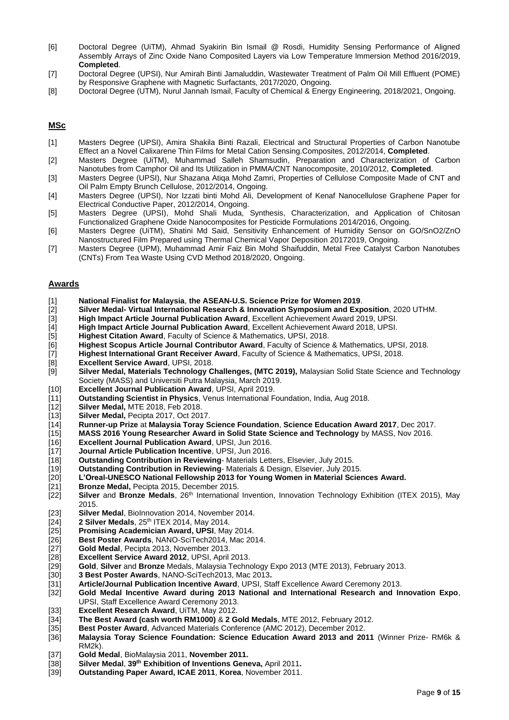- [6] Doctoral Degree (UiTM), Ahmad Syakirin Bin Ismail @ Rosdi, Humidity Sensing Performance of Aligned Assembly Arrays of Zinc Oxide Nano Composited Layers via Low Temperature lmmersion Method 2016/2019, **Completed**.
- [7] Doctoral Degree (UPSI), Nur Amirah Binti Jamaluddin, Wastewater Treatment of Palm Oil Mill Effluent (POME) by Responsive Graphene with Magnetic Surfactants, 2017/2020, Ongoing.
- [8] Doctoral Degree (UTM), Nurul Jannah Ismail, Faculty of Chemical & Energy Engineering, 2018/2021, Ongoing.

# **MSc**

- [1] Masters Degree (UPSI), Amira Shakila Binti Razali, Electrical and Structural Properties of Carbon Nanotube Effect an a Novel Calixarene Thin Films for Metal Cation Sensing.Composites, 2012/2014, **Completed**.
- [2] Masters Degree (UiTM), Muhammad Salleh Shamsudin, Preparation and Characterization of Carbon Nanotubes from Camphor Oil and Its Utilization in PMMA/CNT Nanocomposite, 2010/2012, **Completed**.
- [3] Masters Degree (UPSI), Nur Shazana Atiqa Mohd Zamri, Properties of Cellulose Composite Made of CNT and Oil Palm Empty Brunch Cellulose, 2012/2014, Ongoing.
- [4] Masters Degree (UPSI), Nor Izzati binti Mohd Ali, Development of Kenaf Nanocellulose Graphene Paper for Electrical Conductive Paper, 2012/2014, Ongoing.
- [5] Masters Degree (UPSI), Mohd Shali Muda, Synthesis, Characterization, and Application of Chitosan Functionalized Graphene Oxide Nanocomposites for Pesticide Formulations 2014/2016, Ongoing.
- [6] Masters Degree (UiTM), Shatini Md Said, Sensitivity Enhancement of Humidity Sensor on GO/SnO2/ZnO Nanostructured Film Prepared using Thermal Chemical Vapor Deposition 20172019, Ongoing.
- [7] Masters Degree (UPM), Muhammad Amir Faiz Bin Mohd Shaifuddin, Metal Free Catalyst Carbon Nanotubes (CNTs) From Tea Waste Using CVD Method 2018/2020, Ongoing.

#### **Awards**

- [1] **National Finalist for Malaysia**, **the ASEAN-U.S. Science Prize for Women 2019**.
- [2] **Silver Medal- Virtual International Research & Innovation Symposium and Exposition**, 2020 UTHM.
- [3] **High Impact Article Journal Publication Award**, Excellent Achievement Award 2019, UPSI.
- [4] **High Impact Article Journal Publication Award**, Excellent Achievement Award 2018, UPSI.
- [5] **Highest Citation Award**, Faculty of Science & Mathematics, UPSI, 2018.
- [6] **Highest Scopus Article Journal Contributor Award**, Faculty of Science & Mathematics, UPSI, 2018.
- [7] **Highest International Grant Receiver Award**, Faculty of Science & Mathematics, UPSI, 2018.
- **Excellent Service Award**, UPSI, 2018.
- [9] **Silver Medal, Materials Technology Challenges, (MTC 2019),** Malaysian Solid State Science and Technology Society (MASS) and Universiti Putra Malaysia, March 2019.
- [10] **Excellent Journal Publication Award**, UPSI, April 2019.
- [11] **Outstanding Scientist in Physics**, Venus International Foundation, India, Aug 2018.
- [12] **Silver Medal,** MTE 2018, Feb 2018.
- Silver Medal, Pecipta 2017, Oct 2017.
- [14] **Runner-up Prize** at **Malaysia Toray Science Foundation**, **Science Education Award 2017**, Dec 2017.
- [15] **MASS 2016 Young Researcher Award in Solid State Science and Technology** by MASS, Nov 2016.<br>[16] **Excellent Journal Publication Award**, UPSI, Jun 2016.
- **Excellent Journal Publication Award**, UPSI, Jun 2016.
- [17] **Journal Article Publication Incentive**, UPSI, Jun 2016.
- [18] **Outstanding Contribution in Reviewing** Materials Letters, Elsevier, July 2015.
- [19] **Outstanding Contribution in Reviewing** Materials & Design, Elsevier, July 2015.
- [20] **L'Oreal-UNESCO National Fellowship 2013 for Young Women in Material Sciences Award.**
- [21] **Bronze Medal,** Pecipta 2015, December 2015.
- [22] **Silver** and **Bronze Medals**, 26th International Invention, Innovation Technology Exhibition (ITEX 2015), May 2015.
- [23] **Silver Medal, BioInnovation 2014, November 2014.**<br>[24] **2 Silver Medals**, 25<sup>th</sup> ITEX 2014, May 2014.
- [24] **2 Silver Medals**, 25th ITEX 2014, May 2014.
- **Promising Academician Award, UPSI, May 2014.**
- [26] **Best Poster Awards**, NANO-SciTech2014, Mac 2014.
- 
- [27] **Gold Medal**, Pecipta 2013, November 2013. [28] **Excellent Service Award 2012**, UPSI, April 2013.
- [29] **Gold**, **Silver** and **Bronze** Medals, Malaysia Technology Expo 2013 (MTE 2013), February 2013.
- 
- [30] **3 Best Poster Awards**, NANO-SciTech2013, Mac 2013**.** [31] **Article/Journal Publication Incentive Award**, UPSI, Staff Excellence Award Ceremony 2013.
- [32] **Gold Medal Incentive Award during 2013 National and International Research and Innovation Expo**, UPSI, Staff Excellence Award Ceremony 2013.
- [33] **Excellent Research Award**, UiTM, May 2012.
- [34] **The Best Award (cash worth RM1000)** & **2 Gold Medals**, MTE 2012, February 2012.
- [35] **Best Poster Award**, Advanced Materials Conference (AMC 2012), December 2012.
- [36] **Malaysia Toray Science Foundation: Science Education Award 2013 and 2011** (Winner Prize- RM6k & RM2k).
- [37] **Gold Medal**, BioMalaysia 2011, **November 2011.**
- [38] **Silver Medal**, **39th Exhibition of Inventions Geneva,** April 2011**.**
- [39] **Outstanding Paper Award, ICAE 2011**, **Korea**, November 2011.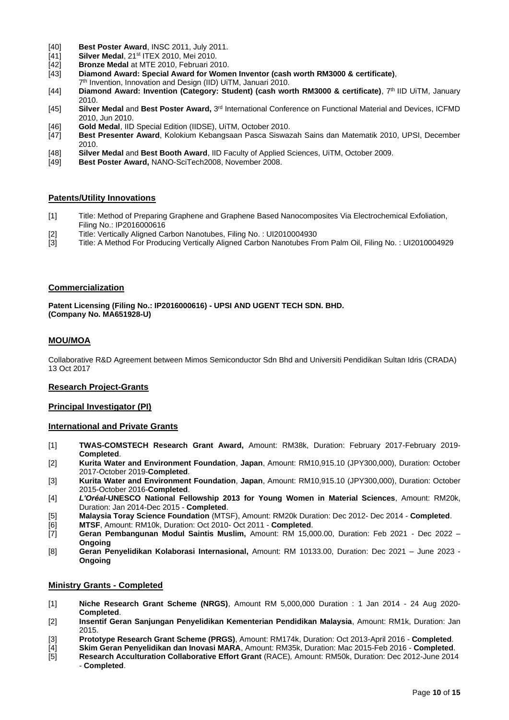- [40] **Best Poster Award**, INSC 2011, July 2011.
- 141] **Silver Medal**, 21<sup>st</sup> ITEX 2010, Mei 2010.<br>[42] **Bronze Medal** at MTE 2010, Februari 20
- [42] **Bronze Medal** at MTE 2010, Februari 2010.
- [43] **Diamond Award: Special Award for Women Inventor (cash worth RM3000 & certificate)**,
- 7 th Invention, Innovation and Design (IID) UiTM, Januari 2010.
- [44] **Diamond Award: Invention (Category: Student) (cash worth RM3000 & certificate)**, 7th IID UiTM, January 2010.
- [45] Silver Medal and Best Poster Award, 3<sup>rd</sup> International Conference on Functional Material and Devices, ICFMD 2010, Jun 2010.
- [46] **Gold Medal**, IID Special Edition (IIDSE), UiTM, October 2010.
- [47] **Best Presenter Award**, Kolokium Kebangsaan Pasca Siswazah Sains dan Matematik 2010, UPSI, December 2010.
- [48] **Silver Medal** and **Best Booth Award**, IID Faculty of Applied Sciences, UiTM, October 2009.
- Best Poster Award, NANO-SciTech2008, November 2008.

# **Patents/Utility Innovations**

- [1] Title: Method of Preparing Graphene and Graphene Based Nanocomposites Via Electrochemical Exfoliation, Filing No.: IP2016000616
- [2] Title: Vertically Aligned Carbon Nanotubes, Filing No. : UI2010004930
- [3] Title: A Method For Producing Vertically Aligned Carbon Nanotubes From Palm Oil, Filing No. : UI2010004929

# **Commercialization**

**Patent Licensing (Filing No.: IP2016000616) - UPSI AND UGENT TECH SDN. BHD. (Company No. MA651928-U)**

# **MOU/MOA**

Collaborative R&D Agreement between Mimos Semiconductor Sdn Bhd and Universiti Pendidikan Sultan Idris (CRADA) 13 Oct 2017

# **Research Project-Grants**

# **Principal Investigator (PI)**

# **International and Private Grants**

- [1] **TWAS-COMSTECH Research Grant Award,** Amount: RM38k, Duration: February 2017-February 2019- **Completed**.
- [2] **Kurita Water and Environment Foundation**, **Japan**, Amount: RM10,915.10 (JPY300,000), Duration: October 2017-October 2019-**Completed**.
- [3] **Kurita Water and Environment Foundation**, **Japan**, Amount: RM10,915.10 (JPY300,000), Duration: October 2015-October 2016-**Completed**.
- [4] *L'Oréal-***UNESCO National Fellowship 2013 for Young Women in Material Sciences**, Amount: RM20k, Duration: Jan 2014-Dec 2015 - **Completed**.
- [5] **Malaysia Toray Science Foundation** (MTSF), Amount: RM20k Duration: Dec 2012- Dec 2014 **Completed**.
- [6] **MTSF**, Amount: RM10k, Duration: Oct 2010- Oct 2011 **Completed**.
- [7] **Geran Pembangunan Modul Saintis Muslim,** Amount: RM 15,000.00, Duration: Feb 2021 Dec 2022 **Ongoing**
- [8] **Geran Penyelidikan Kolaborasi Internasional,** Amount: RM 10133.00, Duration: Dec 2021 June 2023 **Ongoing**

# **Ministry Grants - Completed**

- [1] **Niche Research Grant Scheme (NRGS)**, Amount RM 5,000,000 Duration : 1 Jan 2014 24 Aug 2020- **Completed**.
- [2] **Insentif Geran Sanjungan Penyelidikan Kementerian Pendidikan Malaysia**, Amount: RM1k, Duration: Jan 2015.
- [3] **Prototype Research Grant Scheme (PRGS)**, Amount: RM174k, Duration: Oct 2013-April 2016 **Completed**.
- [4] **Skim Geran Penyelidikan dan Inovasi MARA**, Amount: RM35k, Duration: Mac 2015-Feb 2016 **Completed**.
- [5] **Research Acculturation Collaborative Effort Grant** (RACE)*,* Amount: RM50k, Duration: Dec 2012-June 2014 - **Completed**.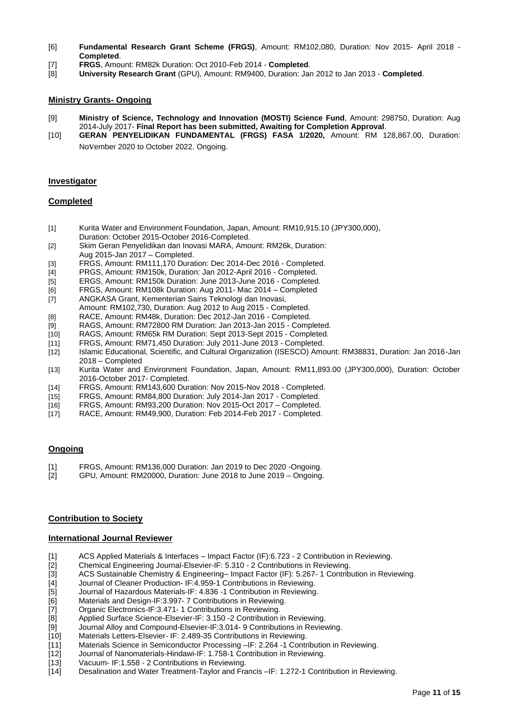- [6] **Fundamental Research Grant Scheme (FRGS)**, Amount: RM102,080, Duration: Nov 2015- April 2018 **Completed**.
- [7] **FRGS**, Amount: RM82k Duration: Oct 2010-Feb 2014 **Completed**.
- [8] **University Research Grant** (GPU)*,* Amount: RM9400, Duration: Jan 2012 to Jan 2013 **Completed**.

#### **Ministry Grants- Ongoing**

- [9] **Ministry of Science, Technology and Innovation (MOSTI) Science Fund**, Amount: 298750, Duration: Aug 2014-July 2017- **Final Report has been submitted, Awaiting for Completion Approval**.
- [10] **GERAN PENYELIDIKAN FUNDAMENTAL (FRGS) FASA 1/2020,** Amount: RM 128,867.00, Duration: November 2020 to October 2022. Ongoing.

#### **Investigator**

#### **Completed**

- [1] Kurita Water and Environment Foundation, Japan, Amount: RM10,915.10 (JPY300,000), Duration: October 2015-October 2016-Completed.
- [2] Skim Geran Penyelidikan dan Inovasi MARA, Amount: RM26k, Duration: Aug 2015-Jan 2017 – Completed.
- [3] FRGS, Amount: RM111,170 Duration: Dec 2014-Dec 2016 Completed.
- [4] PRGS, Amount: RM150k, Duration: Jan 2012-April 2016 Completed.
- [5] ERGS, Amount: RM150k Duration: June 2013-June 2016 Completed.
- [6] FRGS, Amount: RM108k Duration: Aug 2011- Mac 2014 Completed
- [7] ANGKASA Grant, Kementerian Sains Teknologi dan Inovasi, Amount: RM102,730, Duration: Aug 2012 to Aug 2015 - Completed.
- [8] RACE, Amount: RM48k, Duration: Dec 2012-Jan 2016 Completed.
- 
- [9] RAGS, Amount: RM72800 RM Duration: Jan 2013-Jan 2015 Completed. RAGS, Amount: RM65k RM Duration: Sept 2013-Sept 2015 - Completed.
- [11] FRGS, Amount: RM71,450 Duration: July 2011-June 2013 Completed.
- [12] Islamic Educational, Scientific, and Cultural Organization (ISESCO) Amount: RM38831, Duration: Jan 2016-Jan 2018 – Completed
- [13] Kurita Water and Environment Foundation, Japan, Amount: RM11,893.00 (JPY300,000), Duration: October 2016-October 2017- Completed.
- [14] FRGS, Amount: RM143,600 Duration: Nov 2015-Nov 2018 Completed.<br>[15] FRGS, Amount: RM84,800 Duration: July 2014-Jan 2017 Completed.
- FRGS, Amount: RM84,800 Duration: July 2014-Jan 2017 Completed.
- [16] FRGS, Amount: RM93,200 Duration: Nov 2015-Oct 2017 Completed.
- [17] RACE, Amount: RM49,900, Duration: Feb 2014-Feb 2017 Completed.

# **Ongoing**

- [1] FRGS, Amount: RM136,000 Duration: Jan 2019 to Dec 2020 -Ongoing.
- [2] GPU*,* Amount: RM20000, Duration: June 2018 to June 2019 Ongoing.

#### **Contribution to Society**

#### **International Journal Reviewer**

- [1] ACS Applied Materials & Interfaces Impact Factor (IF):6.723 2 Contribution in Reviewing.
- 
- [2] Chemical Engineering Journal-Elsevier-IF: 5.310 2 Contributions in Reviewing.<br>[3] ACS Sustainable Chemistry & Engineering– Impact Factor (IF): 5.267-1 Contrib [3] ACS Sustainable Chemistry & Engineering– Impact Factor (IF): 5.267-1 Contribution in Reviewing.<br>[4] Journal of Cleaner Production- IF:4.959-1 Contributions in Reviewing.
- Journal of Cleaner Production- IF:4.959-1 Contributions in Reviewing.
- [5] Journal of Hazardous Materials-IF: 4.836 -1 Contribution in Reviewing.
- [6] Materials and Design-IF:3.997- 7 Contributions in Reviewing.
- [7] Organic Electronics-IF:3.471- 1 Contributions in Reviewing.
- [8] Applied Surface Science-Elsevier-IF: 3.150 -2 Contribution in Reviewing.
- [9] Journal Alloy and Compound-Elsevier-IF:3.014- 9 Contributions in Reviewing.<br>[10] Materials Letters-Elsevier- IF: 2.489-35 Contributions in Reviewing.
- Materials Letters-Elsevier- IF: 2.489-35 Contributions in Reviewing.
- [11] Materials Science in Semiconductor Processing –IF: 2.264 -1 Contribution in Reviewing.
- [12] Journal of Nanomaterials-Hindawi-IF: 1.758-1 Contribution in Reviewing.
- [13] Vacuum- IF:1.558 2 Contributions in Reviewing.
- [14] Desalination and Water Treatment-Taylor and Francis –IF: 1.272-1 Contribution in Reviewing.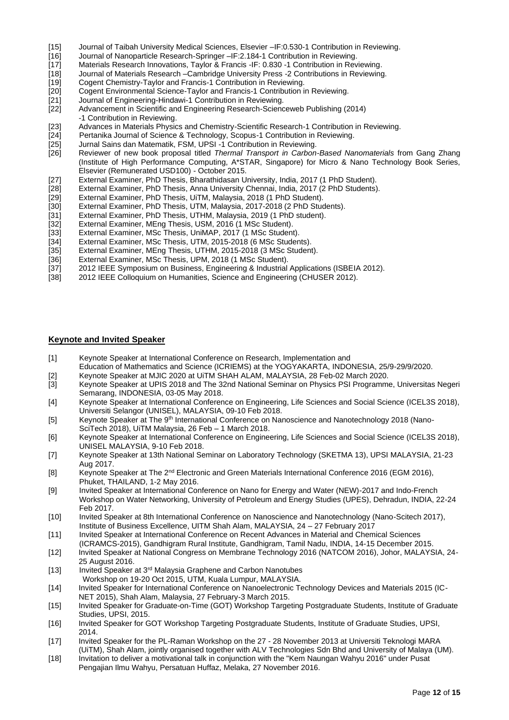- [15] Journal of Taibah University Medical Sciences, Elsevier –IF:0.530-1 Contribution in Reviewing.
- [16] Journal of Nanoparticle Research-Springer –IF:2.184-1 Contribution in Reviewing.
- Materials Research Innovations, Taylor & Francis -IF: 0.830 -1 Contribution in Reviewing.
- [18] Journal of Materials Research –Cambridge University Press -2 Contributions in Reviewing.<br>[19] Cogent Chemistry-Taylor and Francis-1 Contribution in Reviewing.
- [19] Cogent Chemistry-Taylor and Francis-1 Contribution in Reviewing.<br>[20] Cogent Environmental Science-Taylor and Francis-1 Contribution i
- Cogent Environmental Science-Taylor and Francis-1 Contribution in Reviewing.
- [21] Journal of Engineering-Hindawi-1 Contribution in Reviewing.
- Advancement in Scientific and Engineering Research-Scienceweb Publishing (2014) -1 Contribution in Reviewing.
- [23] Advances in Materials Physics and Chemistry[-Scientific Research-](http://www.scirp.org/)1 Contribution in Reviewing.<br>[24] Pertanika Journal of Science & Technology, Scopus-1 Contribution in Reviewing.
- [24] Pertanika Journal of Science & Technology, Scopus-1 Contribution in Reviewing.<br>[25] Jurnal Sains dan Matematik, FSM, UPSI -1 Contribution in Reviewing.
- [25] Jurnal Sains dan Matematik, FSM, UPSI -1 Contribution in Reviewing.<br>[26] Reviewer of new book proposal titled Thermal Transport in Carbon
- [26] Reviewer of new book proposal titled *Thermal Transport in Carbon-Based Nanomaterials* from Gang Zhang (Institute of High Performance Computing, A\*STAR, Singapore) for Micro & Nano Technology Book Series, Elsevier (Remunerated USD100) - October 2015.
- [27] External Examiner, PhD Thesis, Bharathidasan University, India, 2017 (1 PhD Student).
- [28] External Examiner, PhD Thesis, Anna University Chennai, India, 2017 (2 PhD Students).<br>[29] External Examiner, PhD Thesis, UiTM, Malaysia, 2018 (1 PhD Student).
- [29] External Examiner, PhD Thesis, UiTM, Malaysia, 2018 (1 PhD Student).<br>[30] External Examiner, PhD Thesis, UTM, Malaysia, 2017-2018 (2 PhD Stud
- External Examiner, PhD Thesis, UTM, Malaysia, 2017-2018 (2 PhD Students).
- [31] External Examiner, PhD Thesis, UTHM, Malaysia, 2019 (1 PhD student).<br>[32] External Examiner, MEng Thesis, USM, 2016 (1 MSc Student).
- External Examiner, MEng Thesis, USM, 2016 (1 MSc Student).
- [33] External Examiner, MSc Thesis, UniMAP, 2017 (1 MSc Student).<br>[34] External Examiner, MSc Thesis, UTM, 2015-2018 (6 MSc Studen
- [34] External Examiner, MSc Thesis, UTM, 2015-2018 (6 MSc Students).<br>[35] External Examiner, MEng Thesis, UTHM, 2015-2018 (3 MSc Studen
- [35] External Examiner, MEng Thesis, UTHM, 2015-2018 (3 MSc Student).<br>[36] External Examiner, MSc Thesis, UPM, 2018 (1 MSc Student).
- [36] External Examiner, MSc Thesis, UPM, 2018 (1 MSc Student).<br>[37] 2012 IEEE Symposium on Business, Engineering & Industrial
- [37] 2012 IEEE Symposium on Business, Engineering & Industrial Applications (ISBEIA 2012).<br>[38] 2012 IEEE Colloquium on Humanities, Science and Engineering (CHUSER 2012).
- 2012 IEEE Colloquium on Humanities, Science and Engineering (CHUSER 2012).

#### **Keynote and Invited Speaker**

- [1] Keynote Speaker at International Conference on Research, Implementation and
- Education of Mathematics and Science (ICRIEMS) at the YOGYAKARTA, INDONESIA, 25/9-29/9/2020.
- [2] Keynote Speaker at MJIC 2020 at UiTM SHAH ALAM, MALAYSIA, 28 Feb-02 March 2020.
- [3] Keynote Speaker at UPIS 2018 and The 32nd National Seminar on Physics PSI Programme, Universitas Negeri Semarang, INDONESIA, 03-05 May 2018.
- [4] Keynote Speaker at International Conference on Engineering, Life Sciences and Social Science (ICEL3S 2018), Universiti Selangor (UNISEL), MALAYSIA, 09-10 Feb 2018.
- [5] Keynote Speaker at The 9<sup>th</sup> International Conference on Nanoscience and Nanotechnology 2018 (Nano-SciTech 2018), UiTM Malaysia, 26 Feb – 1 March 2018.
- [6] Keynote Speaker at International Conference on Engineering, Life Sciences and Social Science (ICEL3S 2018), UNISEL MALAYSIA, 9-10 Feb 2018.
- [7] Keynote Speaker at 13th National Seminar on Laboratory Technology (SKETMA 13), UPSI MALAYSIA, 21-23 Aug 2017.
- [8] Keynote Speaker at The 2nd Electronic and Green Materials International Conference 2016 (EGM 2016), Phuket, THAILAND, 1-2 May 2016.
- [9] Invited Speaker at International Conference on Nano for Energy and Water (NEW)-2017 and Indo-French Workshop on Water Networking, University of Petroleum and Energy Studies (UPES), Dehradun, INDIA, 22-24 Feb 2017.
- [10] Invited Speaker at 8th International Conference on Nanoscience and Nanotechnology (Nano-Scitech 2017), Institute of Business Excellence, UITM Shah Alam, MALAYSIA, 24 – 27 February 2017
- [11] Invited Speaker at International Conference on Recent Advances in Material and Chemical Sciences
- (ICRAMCS-2015), Gandhigram Rural Institute, Gandhigram, Tamil Nadu, INDIA, 14-15 December 2015.
- [12] Invited Speaker at National Congress on Membrane Technology 2016 (NATCOM 2016), Johor, MALAYSIA, 24- 25 August 2016.
- [13] Invited Speaker at 3<sup>rd</sup> Malaysia Graphene and Carbon Nanotubes Workshop on 19-20 Oct 2015, UTM, Kuala Lumpur, MALAYSIA.
- [14] Invited Speaker for International Conference on Nanoelectronic Technology Devices and Materials 2015 (IC-NET 2015), Shah Alam, Malaysia, 27 February-3 March 2015.
- [15] Invited Speaker for Graduate-on-Time (GOT) Workshop Targeting Postgraduate Students, Institute of Graduate Studies, UPSI, 2015.
- [16] Invited Speaker for GOT Workshop Targeting Postgraduate Students, Institute of Graduate Studies, UPSI, 2014.
- [17] Invited Speaker for the PL-Raman Workshop on the 27 28 November 2013 at Universiti Teknologi MARA (UiTM), Shah Alam, jointly organised together with ALV Technologies Sdn Bhd and University of Malaya (UM).
- [18] Invitation to deliver a motivational talk in conjunction with the "Kem Naungan Wahyu 2016" under Pusat Pengajian Ilmu Wahyu, Persatuan Huffaz, Melaka, 27 November 2016.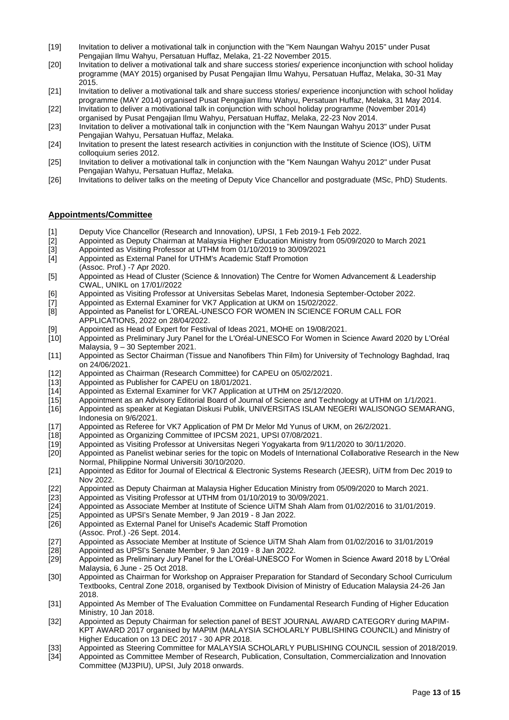- [19] Invitation to deliver a motivational talk in conjunction with the "Kem Naungan Wahyu 2015" under Pusat Pengajian Ilmu Wahyu, Persatuan Huffaz, Melaka, 21-22 November 2015.
- [20] Invitation to deliver a motivational talk and share success stories/ experience inconjunction with school holiday programme (MAY 2015) organised by Pusat Pengajian Ilmu Wahyu, Persatuan Huffaz, Melaka, 30-31 May 2015.
- [21] Invitation to deliver a motivational talk and share success stories/ experience inconjunction with school holiday programme (MAY 2014) organised Pusat Pengajian Ilmu Wahyu, Persatuan Huffaz, Melaka, 31 May 2014.
- [22] Invitation to deliver a motivational talk in conjunction with school holiday programme (November 2014) organised by Pusat Pengajian Ilmu Wahyu, Persatuan Huffaz, Melaka, 22-23 Nov 2014.
- [23] Invitation to deliver a motivational talk in conjunction with the "Kem Naungan Wahyu 2013" under Pusat Pengajian Wahyu, Persatuan Huffaz, Melaka.
- [24] Invitation to present the latest research activities in conjunction with the Institute of Science (IOS), UiTM colloquium series 2012.
- [25] Invitation to deliver a motivational talk in conjunction with the "Kem Naungan Wahyu 2012" under Pusat Pengajian Wahyu, Persatuan Huffaz, Melaka.
- [26] Invitations to deliver talks on the meeting of Deputy Vice Chancellor and postgraduate (MSc, PhD) Students.

# **Appointments/Committee**

- 
- [1] Deputy Vice Chancellor (Research and Innovation), UPSI, 1 Feb 2019-1 Feb 2022. [2] Appointed as Deputy Chairman at Malaysia Higher Education Ministry from 05/09/2020 to March 2021<br>
[3] Appointed as Visiting Professor at UTHM from 01/10/2019 to 30/09/2021<br>
[4] Appointed as External Panel for UTHM's Ac
- [3] Appointed as Visiting Professor at UTHM from 01/10/2019 to 30/09/2021
- Appointed as External Panel for UTHM's Academic Staff Promotion
- (Assoc. Prof.) -7 Apr 2020.
- [5] Appointed as Head of Cluster (Science & Innovation) The Centre for Women Advancement & Leadership CWAL, UNIKL on 17/01//2022
- [6] Appointed as Visiting Professor at Universitas Sebelas Maret, Indonesia September-October 2022.<br>[7] Appointed as External Examiner for VK7 Application at UKM on 15/02/2022.
- Appointed as External Examiner for VK7 Application at UKM on 15/02/2022.
- [8] Appointed as Panelist for L'OREAL-UNESCO FOR WOMEN IN SCIENCE FORUM CALL FOR APPLICATIONS, 2022 on 28/04/2022.
- [9] Appointed as Head of Expert for Festival of Ideas 2021, MOHE on 19/08/2021.
- [10] Appointed as Preliminary Jury Panel for the L'Oréal-UNESCO For Women in Science Award 2020 by L'Oréal Malaysia, 9 – 30 September 2021.
- [11] Appointed as Sector Chairman (Tissue and Nanofibers Thin Film) for University of Technology Baghdad, Iraq on 24/06/2021.
- [12] Appointed as Chairman (Research Committee) for CAPEU on 05/02/2021.
- [13] Appointed as Publisher for CAPEU on 18/01/2021.<br>[14] Appointed as External Examiner for VK7 Applicatio
- Appointed as External Examiner for VK7 Application at UTHM on 25/12/2020.
- [15] Appointment as an Advisory Editorial Board of Journal of Science and Technology at UTHM on 1/1/2021.<br>[16] Appointed as speaker at Kegiatan Diskusi Publik, UNIVERSITAS ISLAM NEGERI WALISONGO SEMAR.
- [16] Appointed as speaker at Kegiatan Diskusi Publik, UNIVERSITAS ISLAM NEGERI WALISONGO SEMARANG, Indonesia on 9/6/2021.
- [17] Appointed as Referee for VK7 Application of PM Dr Melor Md Yunus of UKM, on 26/2/2021.<br>[18] Appointed as Organizing Committee of IPCSM 2021. UPSI 07/08/2021.
- [18] Appointed as Organizing Committee of IPCSM 2021, UPSI 07/08/2021.<br>[19] Appointed as Visiting Professor at Universitas Negeri Yogyakarta from 9
- Appointed as Visiting Professor at Universitas Negeri Yogyakarta from 9/11/2020 to 30/11/2020.
- [20] Appointed as Panelist webinar series for the topic on Models of International Collaborative Research in the New Normal, Philippine Normal Universiti 30/10/2020.
- [21] Appointed as Editor for Journal of Electrical & Electronic Systems Research (JEESR), UiTM from Dec 2019 to Nov 2022.
- [22] Appointed as Deputy Chairman at Malaysia Higher Education Ministry from 05/09/2020 to March 2021.<br>[23] Appointed as Visiting Professor at UTHM from 01/10/2019 to 30/09/2021.
- Appointed as Visiting Professor at UTHM from 01/10/2019 to 30/09/2021.
- [24] Appointed as Associate Member at Institute of Science UiTM Shah Alam from 01/02/2016 to 31/01/2019.
- [25] Appointed as UPSI's Senate Member, 9 Jan 2019 8 Jan 2022.
- [26] Appointed as External Panel for Unisel's Academic Staff Promotion
- (Assoc. Prof.) -26 Sept. 2014.
- [27] Appointed as Associate Member at Institute of Science UiTM Shah Alam from 01/02/2016 to 31/01/2019
- [28] Appointed as UPSI's Senate Member, 9 Jan 2019 8 Jan 2022.
- [29] Appointed as Preliminary Jury Panel for the L'Oréal-UNESCO For Women in Science Award 2018 by L'Oréal Malaysia, 6 June - 25 Oct 2018.
- [30] Appointed as Chairman for Workshop on Appraiser Preparation for Standard of Secondary School Curriculum Textbooks, Central Zone 2018, organised by Textbook Division of Ministry of Education Malaysia 24-26 Jan 2018.
- [31] Appointed As Member of The Evaluation Committee on Fundamental Research Funding of Higher Education Ministry, 10 Jan 2018.
- [32] Appointed as Deputy Chairman for selection panel of BEST JOURNAL AWARD CATEGORY during MAPIM-KPT AWARD 2017 organised by MAPIM (MALAYSIA SCHOLARLY PUBLISHING COUNCIL) and Ministry of Higher Education on 13 DEC 2017 - 30 APR 2018.
- [33] Appointed as Steering Committee for MALAYSIA SCHOLARLY PUBLISHING COUNCIL session of 2018/2019.
- [34] Appointed as Committee Member of Research, Publication, Consultation, Commercialization and Innovation Committee (MJ3PIU), UPSI, July 2018 onwards.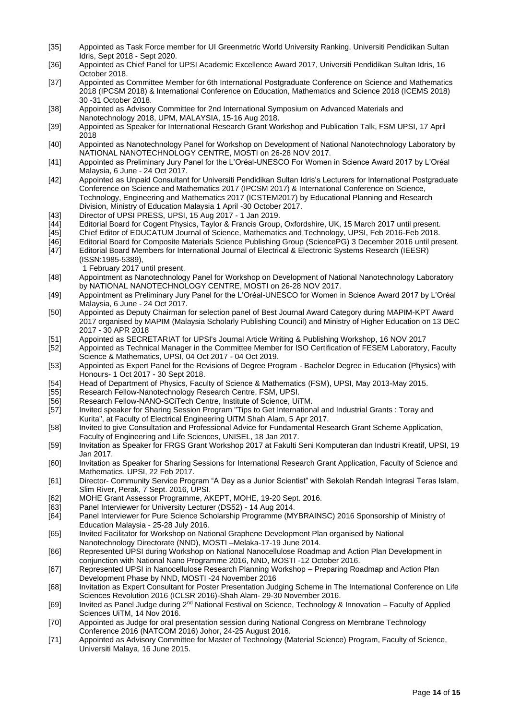- [35] Appointed as Task Force member for UI Greenmetric World University Ranking, Universiti Pendidikan Sultan Idris, Sept 2018 - Sept 2020.
- [36] Appointed as Chief Panel for UPSI Academic Excellence Award 2017, Universiti Pendidikan Sultan Idris, 16 October 2018.
- [37] Appointed as Committee Member for 6th International Postgraduate Conference on Science and Mathematics 2018 (IPCSM 2018) & International Conference on Education, Mathematics and Science 2018 (ICEMS 2018) 30 -31 October 2018.
- [38] Appointed as Advisory Committee for 2nd International Symposium on Advanced Materials and Nanotechnology 2018, UPM, MALAYSIA, 15-16 Aug 2018.
- [39] Appointed as Speaker for International Research Grant Workshop and Publication Talk, FSM UPSI, 17 April 2018
- [40] Appointed as Nanotechnology Panel for Workshop on Development of National Nanotechnology Laboratory by NATIONAL NANOTECHNOLOGY CENTRE, MOSTI on 26-28 NOV 2017.
- [41] Appointed as Preliminary Jury Panel for the L'Oréal-UNESCO For Women in Science Award 2017 by L'Oréal Malaysia, 6 June - 24 Oct 2017.
- [42] Appointed as Unpaid Consultant for Universiti Pendidikan Sultan Idris's Lecturers for International Postgraduate Conference on Science and Mathematics 2017 (IPCSM 2017) & International Conference on Science, Technology, Engineering and Mathematics 2017 (ICSTEM2017) by Educational Planning and Research Division, Ministry of Education Malaysia 1 April -30 October 2017.
- 
- [43] Director of UPSI PRESS, UPSI, 15 Aug 2017 1 Jan 2019. [44] Editorial Board for Cogent Physics, Taylor & Francis Group, Oxfordshire, UK, 15 March 2017 until present.
- Chief Editor of EDUCATUM Journal of Science, Mathematics and Technology, UPSI, Feb 2016-Feb 2018.
- [46] Editorial Board for Composite Materials Science Publishing Group (SciencePG) 3 December 2016 until present.<br>[47] Editorial Board Members for International Journal of Electrical & Electronic Systems Research (IEESR)
- Editorial Board Members for International Journal of Electrical & Electronic Systems Research (IEESR) (ISSN:1985-5389),
- 1 February 2017 until present.<br>Appointment as Nanotechnoloc
- Appointment as Nanotechnology Panel for Workshop on Development of National Nanotechnology Laboratory by NATIONAL NANOTECHNOLOGY CENTRE, MOSTI on 26-28 NOV 2017.
- [49] Appointment as Preliminary Jury Panel for the L'Oréal-UNESCO for Women in Science Award 2017 by L'Oréal Malaysia, 6 June - 24 Oct 2017.
- [50] Appointed as Deputy Chairman for selection panel of Best Journal Award Category during MAPIM-KPT Award 2017 organised by MAPIM (Malaysia Scholarly Publishing Council) and Ministry of Higher Education on 13 DEC 2017 - 30 APR 2018
- [51] Appointed as SECRETARIAT for UPSI's Journal Article Writing & Publishing Workshop, 16 NOV 2017<br>[52] Appointed as Technical Manager in the Committee Member for ISO Certification of FESEM Laboratory
- Appointed as Technical Manager in the Committee Member for ISO Certification of FESEM Laboratory, Faculty Science & Mathematics, UPSI, 04 Oct 2017 - 04 Oct 2019.
- [53] Appointed as Expert Panel for the Revisions of Degree Program Bachelor Degree in Education (Physics) with Honours- 1 Oct 2017 - 30 Sept 2018.
- [54] Head of Department of Physics, Faculty of Science & Mathematics (FSM), UPSI, May 2013-May 2015.<br>[55] Research Fellow-Nanotechnology Research Centre, FSM, UPSI.
- Research Fellow-Nanotechnology Research Centre, FSM, UPSI.
- [56] Research Fellow-NANO-SCiTech Centre, Institute of Science, UiTM.
- [57] Invited speaker for Sharing Session Program "Tips to Get International and Industrial Grants : Toray and Kurita", at Faculty of Electrical Engineering UiTM Shah Alam, 5 Apr 2017.
- [58] Invited to give Consultation and Professional Advice for Fundamental Research Grant Scheme Application, Faculty of Engineering and Life Sciences, UNISEL, 18 Jan 2017.
- [59] Invitation as Speaker for FRGS Grant Workshop 2017 at Fakulti Seni Komputeran dan Industri Kreatif, UPSI, 19 Jan 2017.
- [60] Invitation as Speaker for Sharing Sessions for International Research Grant Application, Faculty of Science and Mathematics, UPSI, 22 Feb 2017.
- [61] Director- Community Service Program "A Day as a Junior Scientist" with Sekolah Rendah Integrasi Teras Islam, Slim River, Perak, 7 Sept. 2016, UPSI.
- [62] MOHE Grant Assessor Programme, AKEPT, MOHE, 19-20 Sept. 2016.
- [63] Panel Interviewer for University Lecturer (DS52) 14 Aug 2014.
- Panel Interviewer for Pure Science Scholarship Programme (MYBRAINSC) 2016 Sponsorship of Ministry of Education Malaysia - 25-28 July 2016.
- [65] Invited Facilitator for Workshop on National Graphene Development Plan organised by National Nanotechnology Directorate (NND), MOSTI –Melaka-17-19 June 2014.
- [66] Represented UPSI during Workshop on National Nanocellulose Roadmap and Action Plan Development in conjunction with National Nano Programme 2016, NND, MOSTI -12 October 2016.
- [67] Represented UPSI in Nanocellulose Research Planning Workshop Preparing Roadmap and Action Plan Development Phase by NND, MOSTI -24 November 2016
- [68] Invitation as Expert Consultant for Poster Presentation Judging Scheme in The International Conference on Life Sciences Revolution 2016 (ICLSR 2016)-Shah Alam- 29-30 November 2016.
- [69] Invited as Panel Judge during 2nd National Festival on Science, Technology & Innovation Faculty of Applied Sciences UiTM, 14 Nov 2016.
- [70] Appointed as Judge for oral presentation session during National Congress on Membrane Technology Conference 2016 (NATCOM 2016) Johor, 24-25 August 2016.
- [71] Appointed as Advisory Committee for Master of Technology (Material Science) Program, Faculty of Science, Universiti Malaya, 16 June 2015.